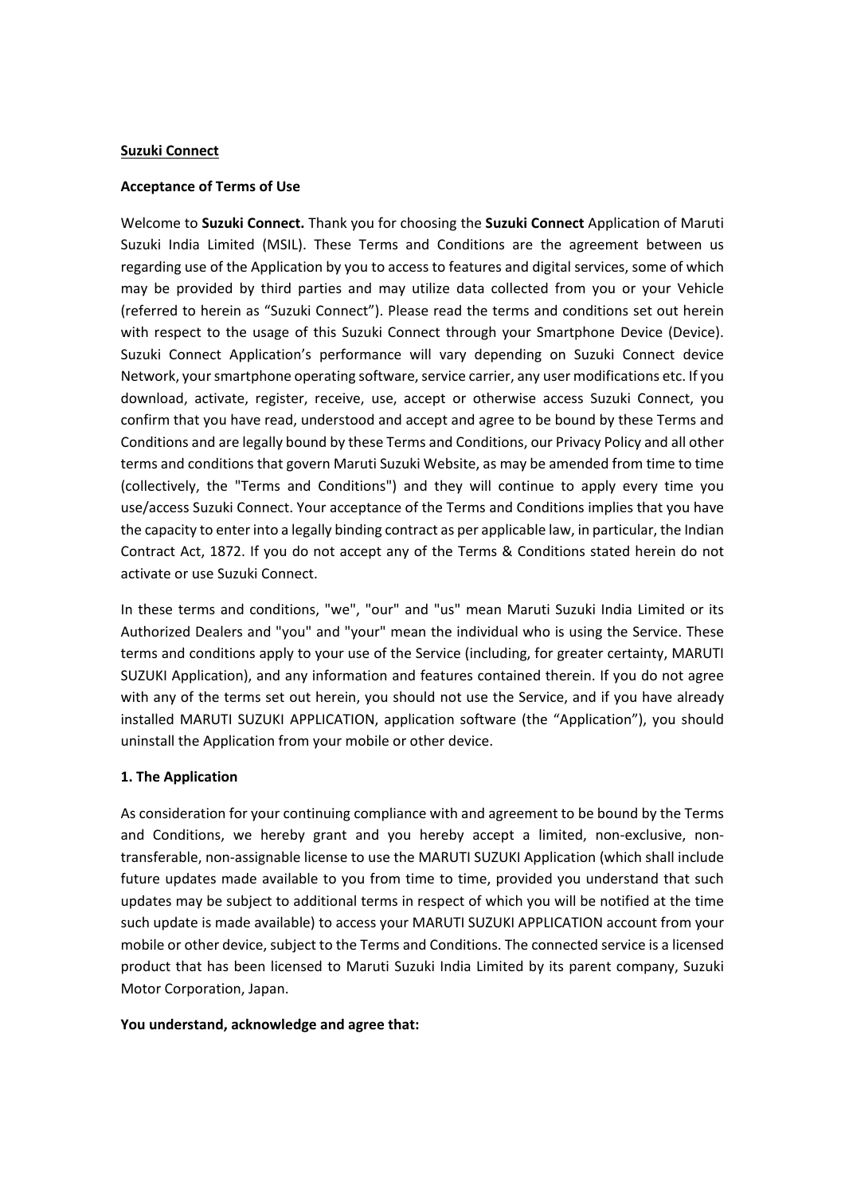#### **Suzuki Connect**

#### **Acceptance of Terms of Use**

Welcome to **Suzuki Connect.** Thank you for choosing the **Suzuki Connect** Application of Maruti Suzuki India Limited (MSIL). These Terms and Conditions are the agreement between us regarding use of the Application by you to access to features and digital services, some of which may be provided by third parties and may utilize data collected from you or your Vehicle (referred to herein as "Suzuki Connect"). Please read the terms and conditions set out herein with respect to the usage of this Suzuki Connect through your Smartphone Device (Device). Suzuki Connect Application's performance will vary depending on Suzuki Connect device Network, your smartphone operating software, service carrier, any user modifications etc. If you download, activate, register, receive, use, accept or otherwise access Suzuki Connect, you confirm that you have read, understood and accept and agree to be bound by these Terms and Conditions and are legally bound by these Terms and Conditions, our Privacy Policy and all other terms and conditions that govern Maruti Suzuki Website, as may be amended from time to time (collectively, the "Terms and Conditions") and they will continue to apply every time you use/access Suzuki Connect. Your acceptance of the Terms and Conditions implies that you have the capacity to enter into a legally binding contract as per applicable law, in particular, the Indian Contract Act, 1872. If you do not accept any of the Terms & Conditions stated herein do not activate or use Suzuki Connect.

In these terms and conditions, "we", "our" and "us" mean Maruti Suzuki India Limited or its Authorized Dealers and "you" and "your" mean the individual who is using the Service. These terms and conditions apply to your use of the Service (including, for greater certainty, MARUTI SUZUKI Application), and any information and features contained therein. If you do not agree with any of the terms set out herein, you should not use the Service, and if you have already installed MARUTI SUZUKI APPLICATION, application software (the "Application"), you should uninstall the Application from your mobile or other device.

### **1. The Application**

As consideration for your continuing compliance with and agreement to be bound by the Terms and Conditions, we hereby grant and you hereby accept a limited, non-exclusive, nontransferable, non-assignable license to use the MARUTI SUZUKI Application (which shall include future updates made available to you from time to time, provided you understand that such updates may be subject to additional terms in respect of which you will be notified at the time such update is made available) to access your MARUTI SUZUKI APPLICATION account from your mobile or other device, subject to the Terms and Conditions. The connected service is a licensed product that has been licensed to Maruti Suzuki India Limited by its parent company, Suzuki Motor Corporation, Japan.

#### **You understand, acknowledge and agree that:**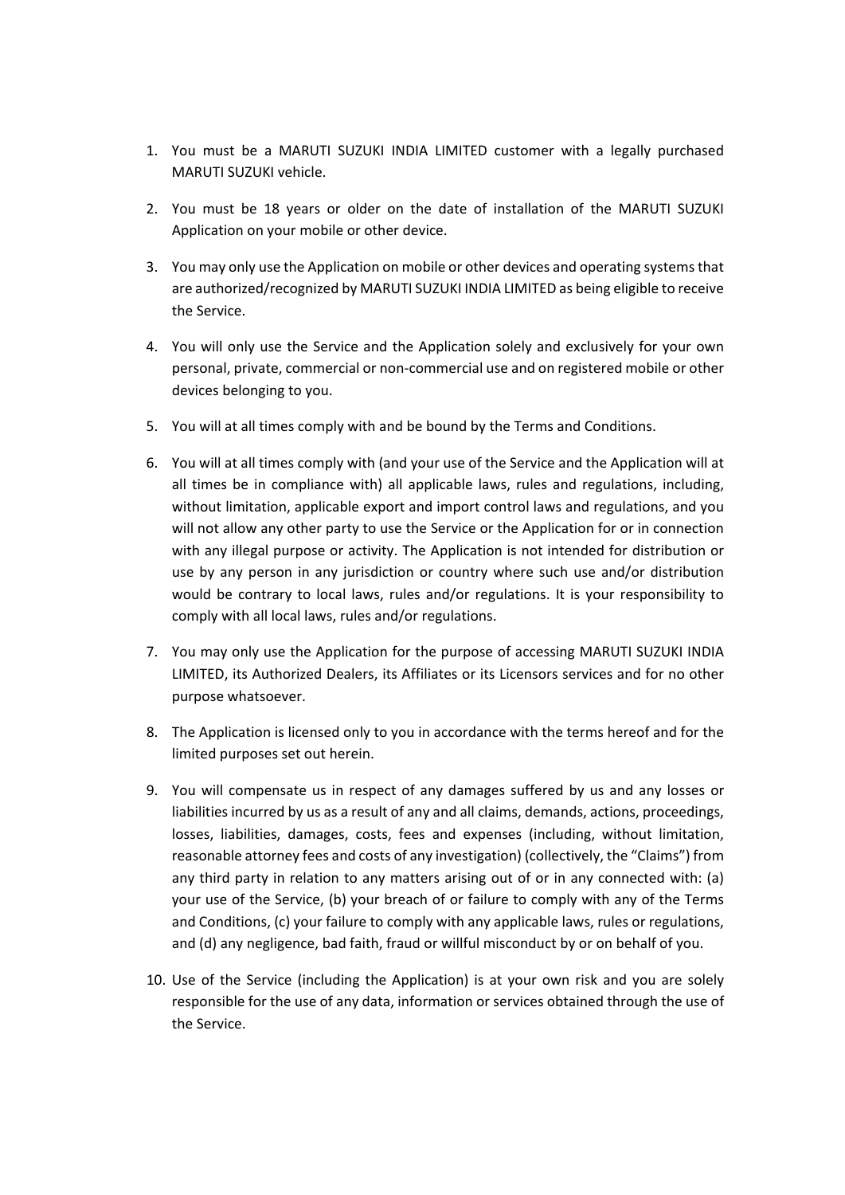- 1. You must be a MARUTI SUZUKI INDIA LIMITED customer with a legally purchased MARUTI SUZUKI vehicle.
- 2. You must be 18 years or older on the date of installation of the MARUTI SUZUKI Application on your mobile or other device.
- 3. You may only use the Application on mobile or other devices and operating systems that are authorized/recognized by MARUTI SUZUKI INDIA LIMITED as being eligible to receive the Service.
- 4. You will only use the Service and the Application solely and exclusively for your own personal, private, commercial or non-commercial use and on registered mobile or other devices belonging to you.
- 5. You will at all times comply with and be bound by the Terms and Conditions.
- 6. You will at all times comply with (and your use of the Service and the Application will at all times be in compliance with) all applicable laws, rules and regulations, including, without limitation, applicable export and import control laws and regulations, and you will not allow any other party to use the Service or the Application for or in connection with any illegal purpose or activity. The Application is not intended for distribution or use by any person in any jurisdiction or country where such use and/or distribution would be contrary to local laws, rules and/or regulations. It is your responsibility to comply with all local laws, rules and/or regulations.
- 7. You may only use the Application for the purpose of accessing MARUTI SUZUKI INDIA LIMITED, its Authorized Dealers, its Affiliates or its Licensors services and for no other purpose whatsoever.
- 8. The Application is licensed only to you in accordance with the terms hereof and for the limited purposes set out herein.
- 9. You will compensate us in respect of any damages suffered by us and any losses or liabilities incurred by us as a result of any and all claims, demands, actions, proceedings, losses, liabilities, damages, costs, fees and expenses (including, without limitation, reasonable attorney fees and costs of any investigation) (collectively, the "Claims") from any third party in relation to any matters arising out of or in any connected with: (a) your use of the Service, (b) your breach of or failure to comply with any of the Terms and Conditions, (c) your failure to comply with any applicable laws, rules or regulations, and (d) any negligence, bad faith, fraud or willful misconduct by or on behalf of you.
- 10. Use of the Service (including the Application) is at your own risk and you are solely responsible for the use of any data, information or services obtained through the use of the Service.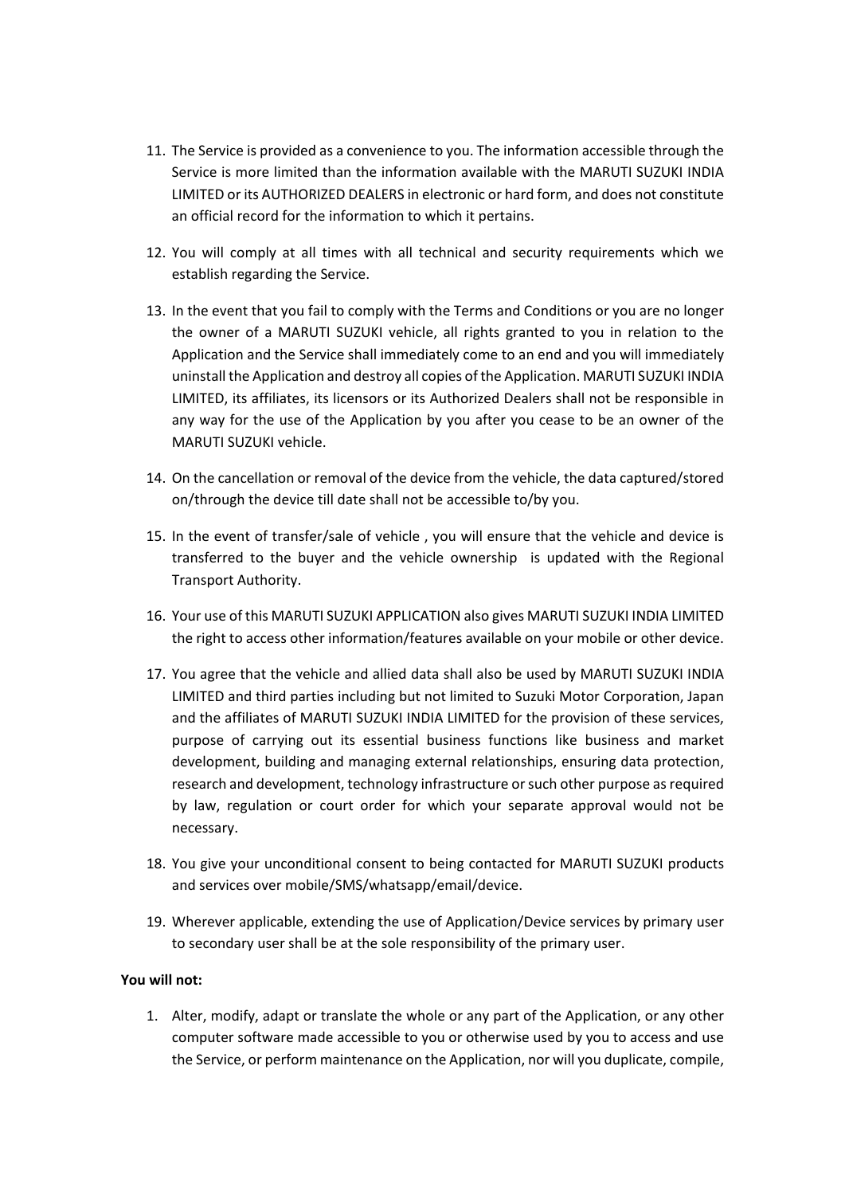- 11. The Service is provided as a convenience to you. The information accessible through the Service is more limited than the information available with the MARUTI SUZUKI INDIA LIMITED or its AUTHORIZED DEALERS in electronic or hard form, and does not constitute an official record for the information to which it pertains.
- 12. You will comply at all times with all technical and security requirements which we establish regarding the Service.
- 13. In the event that you fail to comply with the Terms and Conditions or you are no longer the owner of a MARUTI SUZUKI vehicle, all rights granted to you in relation to the Application and the Service shall immediately come to an end and you will immediately uninstall the Application and destroy all copies of the Application. MARUTI SUZUKI INDIA LIMITED, its affiliates, its licensors or its Authorized Dealers shall not be responsible in any way for the use of the Application by you after you cease to be an owner of the MARUTI SUZUKI vehicle.
- 14. On the cancellation or removal of the device from the vehicle, the data captured/stored on/through the device till date shall not be accessible to/by you.
- 15. In the event of transfer/sale of vehicle , you will ensure that the vehicle and device is transferred to the buyer and the vehicle ownership is updated with the Regional Transport Authority.
- 16. Your use of this MARUTI SUZUKI APPLICATION also gives MARUTI SUZUKI INDIA LIMITED the right to access other information/features available on your mobile or other device.
- 17. You agree that the vehicle and allied data shall also be used by MARUTI SUZUKI INDIA LIMITED and third parties including but not limited to Suzuki Motor Corporation, Japan and the affiliates of MARUTI SUZUKI INDIA LIMITED for the provision of these services, purpose of carrying out its essential business functions like business and market development, building and managing external relationships, ensuring data protection, research and development, technology infrastructure or such other purpose as required by law, regulation or court order for which your separate approval would not be necessary.
- 18. You give your unconditional consent to being contacted for MARUTI SUZUKI products and services over mobile/SMS/whatsapp/email/device.
- 19. Wherever applicable, extending the use of Application/Device services by primary user to secondary user shall be at the sole responsibility of the primary user.

### **You will not:**

1. Alter, modify, adapt or translate the whole or any part of the Application, or any other computer software made accessible to you or otherwise used by you to access and use the Service, or perform maintenance on the Application, nor will you duplicate, compile,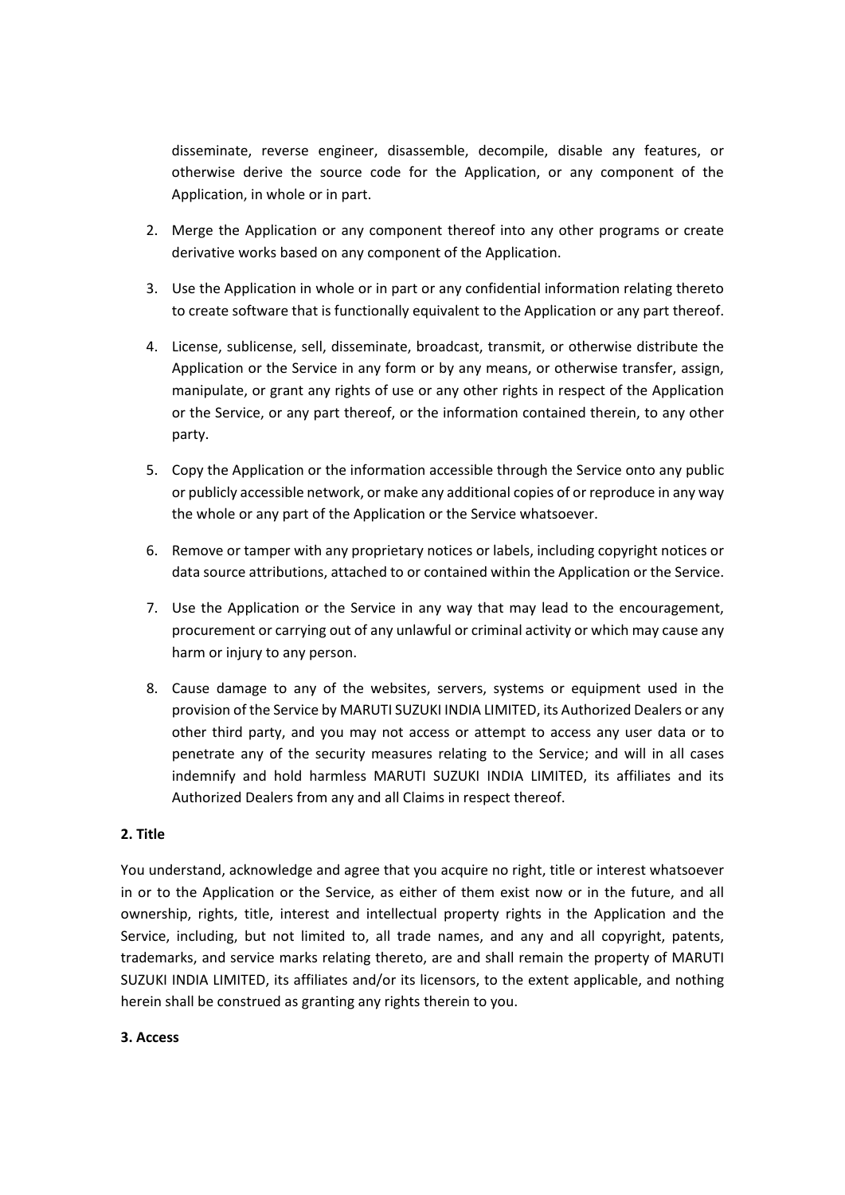disseminate, reverse engineer, disassemble, decompile, disable any features, or otherwise derive the source code for the Application, or any component of the Application, in whole or in part.

- 2. Merge the Application or any component thereof into any other programs or create derivative works based on any component of the Application.
- 3. Use the Application in whole or in part or any confidential information relating thereto to create software that is functionally equivalent to the Application or any part thereof.
- 4. License, sublicense, sell, disseminate, broadcast, transmit, or otherwise distribute the Application or the Service in any form or by any means, or otherwise transfer, assign, manipulate, or grant any rights of use or any other rights in respect of the Application or the Service, or any part thereof, or the information contained therein, to any other party.
- 5. Copy the Application or the information accessible through the Service onto any public or publicly accessible network, or make any additional copies of or reproduce in any way the whole or any part of the Application or the Service whatsoever.
- 6. Remove or tamper with any proprietary notices or labels, including copyright notices or data source attributions, attached to or contained within the Application or the Service.
- 7. Use the Application or the Service in any way that may lead to the encouragement, procurement or carrying out of any unlawful or criminal activity or which may cause any harm or injury to any person.
- 8. Cause damage to any of the websites, servers, systems or equipment used in the provision of the Service by MARUTI SUZUKI INDIA LIMITED, its Authorized Dealers or any other third party, and you may not access or attempt to access any user data or to penetrate any of the security measures relating to the Service; and will in all cases indemnify and hold harmless MARUTI SUZUKI INDIA LIMITED, its affiliates and its Authorized Dealers from any and all Claims in respect thereof.

## **2. Title**

You understand, acknowledge and agree that you acquire no right, title or interest whatsoever in or to the Application or the Service, as either of them exist now or in the future, and all ownership, rights, title, interest and intellectual property rights in the Application and the Service, including, but not limited to, all trade names, and any and all copyright, patents, trademarks, and service marks relating thereto, are and shall remain the property of MARUTI SUZUKI INDIA LIMITED, its affiliates and/or its licensors, to the extent applicable, and nothing herein shall be construed as granting any rights therein to you.

### **3. Access**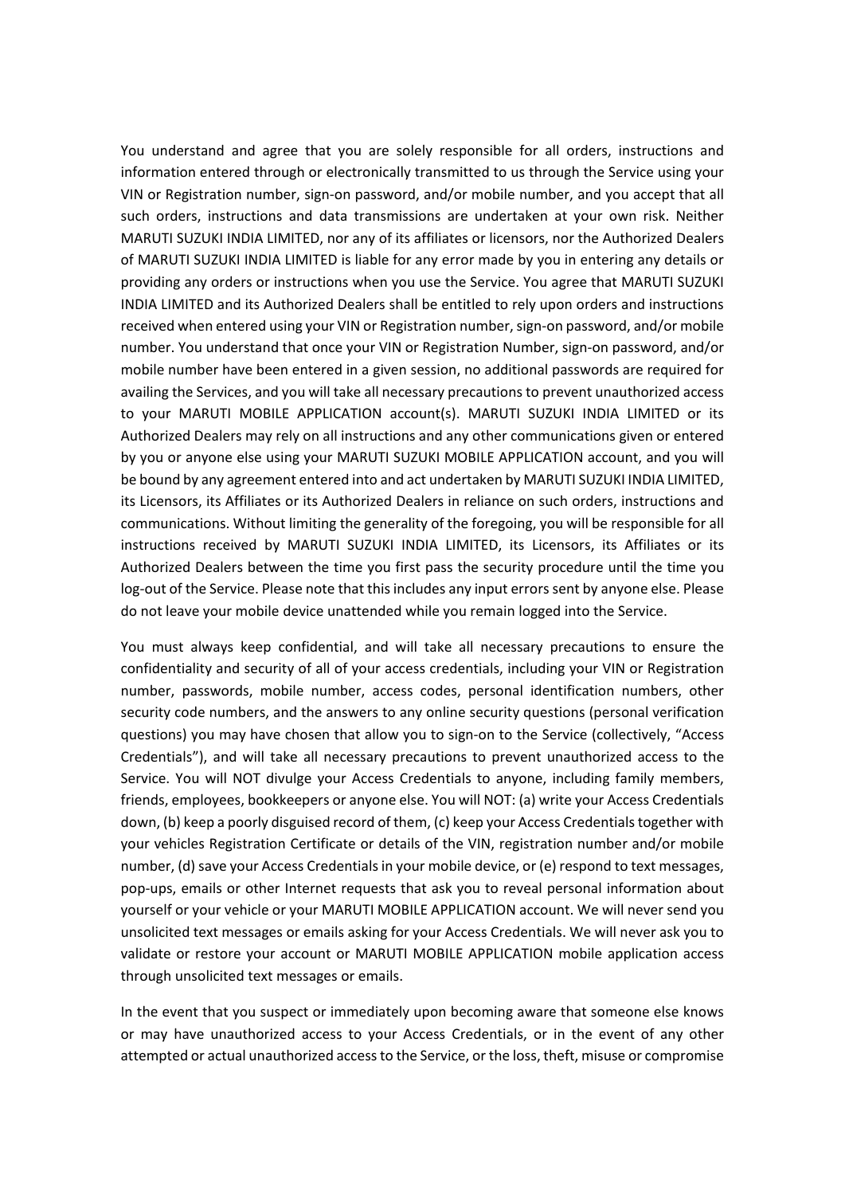You understand and agree that you are solely responsible for all orders, instructions and information entered through or electronically transmitted to us through the Service using your VIN or Registration number, sign-on password, and/or mobile number, and you accept that all such orders, instructions and data transmissions are undertaken at your own risk. Neither MARUTI SUZUKI INDIA LIMITED, nor any of its affiliates or licensors, nor the Authorized Dealers of MARUTI SUZUKI INDIA LIMITED is liable for any error made by you in entering any details or providing any orders or instructions when you use the Service. You agree that MARUTI SUZUKI INDIA LIMITED and its Authorized Dealers shall be entitled to rely upon orders and instructions received when entered using your VIN or Registration number, sign-on password, and/or mobile number. You understand that once your VIN or Registration Number, sign-on password, and/or mobile number have been entered in a given session, no additional passwords are required for availing the Services, and you will take all necessary precautions to prevent unauthorized access to your MARUTI MOBILE APPLICATION account(s). MARUTI SUZUKI INDIA LIMITED or its Authorized Dealers may rely on all instructions and any other communications given or entered by you or anyone else using your MARUTI SUZUKI MOBILE APPLICATION account, and you will be bound by any agreement entered into and act undertaken by MARUTI SUZUKI INDIA LIMITED, its Licensors, its Affiliates or its Authorized Dealers in reliance on such orders, instructions and communications. Without limiting the generality of the foregoing, you will be responsible for all instructions received by MARUTI SUZUKI INDIA LIMITED, its Licensors, its Affiliates or its Authorized Dealers between the time you first pass the security procedure until the time you log-out of the Service. Please note that this includes any input errors sent by anyone else. Please do not leave your mobile device unattended while you remain logged into the Service.

You must always keep confidential, and will take all necessary precautions to ensure the confidentiality and security of all of your access credentials, including your VIN or Registration number, passwords, mobile number, access codes, personal identification numbers, other security code numbers, and the answers to any online security questions (personal verification questions) you may have chosen that allow you to sign-on to the Service (collectively, "Access Credentials"), and will take all necessary precautions to prevent unauthorized access to the Service. You will NOT divulge your Access Credentials to anyone, including family members, friends, employees, bookkeepers or anyone else. You will NOT: (a) write your Access Credentials down, (b) keep a poorly disguised record of them, (c) keep your Access Credentials together with your vehicles Registration Certificate or details of the VIN, registration number and/or mobile number, (d) save your Access Credentials in your mobile device, or (e) respond to text messages, pop-ups, emails or other Internet requests that ask you to reveal personal information about yourself or your vehicle or your MARUTI MOBILE APPLICATION account. We will never send you unsolicited text messages or emails asking for your Access Credentials. We will never ask you to validate or restore your account or MARUTI MOBILE APPLICATION mobile application access through unsolicited text messages or emails.

In the event that you suspect or immediately upon becoming aware that someone else knows or may have unauthorized access to your Access Credentials, or in the event of any other attempted or actual unauthorized access to the Service, or the loss, theft, misuse or compromise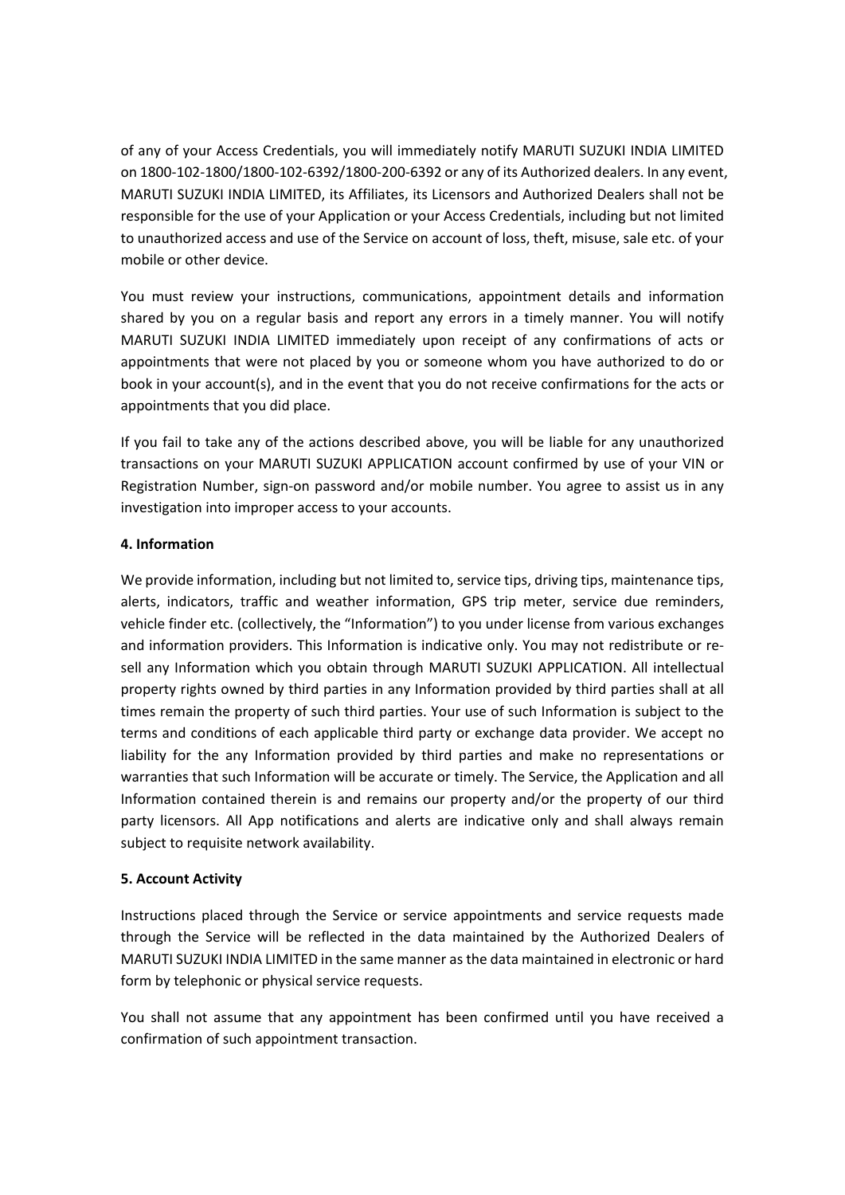of any of your Access Credentials, you will immediately notify MARUTI SUZUKI INDIA LIMITED on 1800-102-1800/1800-102-6392/1800-200-6392 or any of its Authorized dealers. In any event, MARUTI SUZUKI INDIA LIMITED, its Affiliates, its Licensors and Authorized Dealers shall not be responsible for the use of your Application or your Access Credentials, including but not limited to unauthorized access and use of the Service on account of loss, theft, misuse, sale etc. of your mobile or other device.

You must review your instructions, communications, appointment details and information shared by you on a regular basis and report any errors in a timely manner. You will notify MARUTI SUZUKI INDIA LIMITED immediately upon receipt of any confirmations of acts or appointments that were not placed by you or someone whom you have authorized to do or book in your account(s), and in the event that you do not receive confirmations for the acts or appointments that you did place.

If you fail to take any of the actions described above, you will be liable for any unauthorized transactions on your MARUTI SUZUKI APPLICATION account confirmed by use of your VIN or Registration Number, sign-on password and/or mobile number. You agree to assist us in any investigation into improper access to your accounts.

# **4. Information**

We provide information, including but not limited to, service tips, driving tips, maintenance tips, alerts, indicators, traffic and weather information, GPS trip meter, service due reminders, vehicle finder etc. (collectively, the "Information") to you under license from various exchanges and information providers. This Information is indicative only. You may not redistribute or resell any Information which you obtain through MARUTI SUZUKI APPLICATION. All intellectual property rights owned by third parties in any Information provided by third parties shall at all times remain the property of such third parties. Your use of such Information is subject to the terms and conditions of each applicable third party or exchange data provider. We accept no liability for the any Information provided by third parties and make no representations or warranties that such Information will be accurate or timely. The Service, the Application and all Information contained therein is and remains our property and/or the property of our third party licensors. All App notifications and alerts are indicative only and shall always remain subject to requisite network availability.

# **5. Account Activity**

Instructions placed through the Service or service appointments and service requests made through the Service will be reflected in the data maintained by the Authorized Dealers of MARUTI SUZUKI INDIA LIMITED in the same manner as the data maintained in electronic or hard form by telephonic or physical service requests.

You shall not assume that any appointment has been confirmed until you have received a confirmation of such appointment transaction.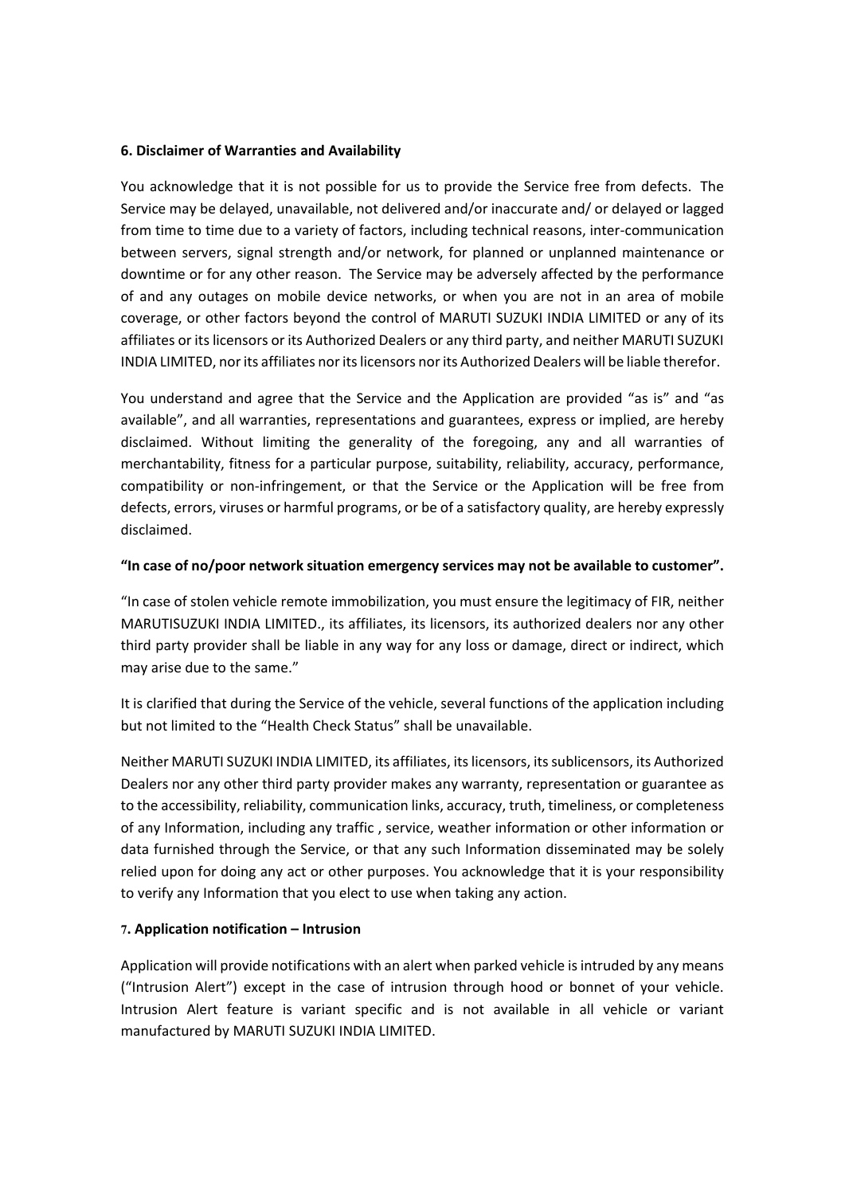#### **6. Disclaimer of Warranties and Availability**

You acknowledge that it is not possible for us to provide the Service free from defects. The Service may be delayed, unavailable, not delivered and/or inaccurate and/ or delayed or lagged from time to time due to a variety of factors, including technical reasons, inter-communication between servers, signal strength and/or network, for planned or unplanned maintenance or downtime or for any other reason. The Service may be adversely affected by the performance of and any outages on mobile device networks, or when you are not in an area of mobile coverage, or other factors beyond the control of MARUTI SUZUKI INDIA LIMITED or any of its affiliates or its licensors or its Authorized Dealers or any third party, and neither MARUTI SUZUKI INDIA LIMITED, nor its affiliates nor its licensors nor its Authorized Dealers will be liable therefor.

You understand and agree that the Service and the Application are provided "as is" and "as available", and all warranties, representations and guarantees, express or implied, are hereby disclaimed. Without limiting the generality of the foregoing, any and all warranties of merchantability, fitness for a particular purpose, suitability, reliability, accuracy, performance, compatibility or non-infringement, or that the Service or the Application will be free from defects, errors, viruses or harmful programs, or be of a satisfactory quality, are hereby expressly disclaimed.

### **"In case of no/poor network situation emergency services may not be available to customer".**

"In case of stolen vehicle remote immobilization, you must ensure the legitimacy of FIR, neither MARUTISUZUKI INDIA LIMITED., its affiliates, its licensors, its authorized dealers nor any other third party provider shall be liable in any way for any loss or damage, direct or indirect, which may arise due to the same."

It is clarified that during the Service of the vehicle, several functions of the application including but not limited to the "Health Check Status" shall be unavailable.

Neither MARUTI SUZUKI INDIA LIMITED, its affiliates, its licensors, its sublicensors, its Authorized Dealers nor any other third party provider makes any warranty, representation or guarantee as to the accessibility, reliability, communication links, accuracy, truth, timeliness, or completeness of any Information, including any traffic , service, weather information or other information or data furnished through the Service, or that any such Information disseminated may be solely relied upon for doing any act or other purposes. You acknowledge that it is your responsibility to verify any Information that you elect to use when taking any action.

### **7. Application notification – Intrusion**

Application will provide notifications with an alert when parked vehicle is intruded by any means ("Intrusion Alert") except in the case of intrusion through hood or bonnet of your vehicle. Intrusion Alert feature is variant specific and is not available in all vehicle or variant manufactured by MARUTI SUZUKI INDIA LIMITED.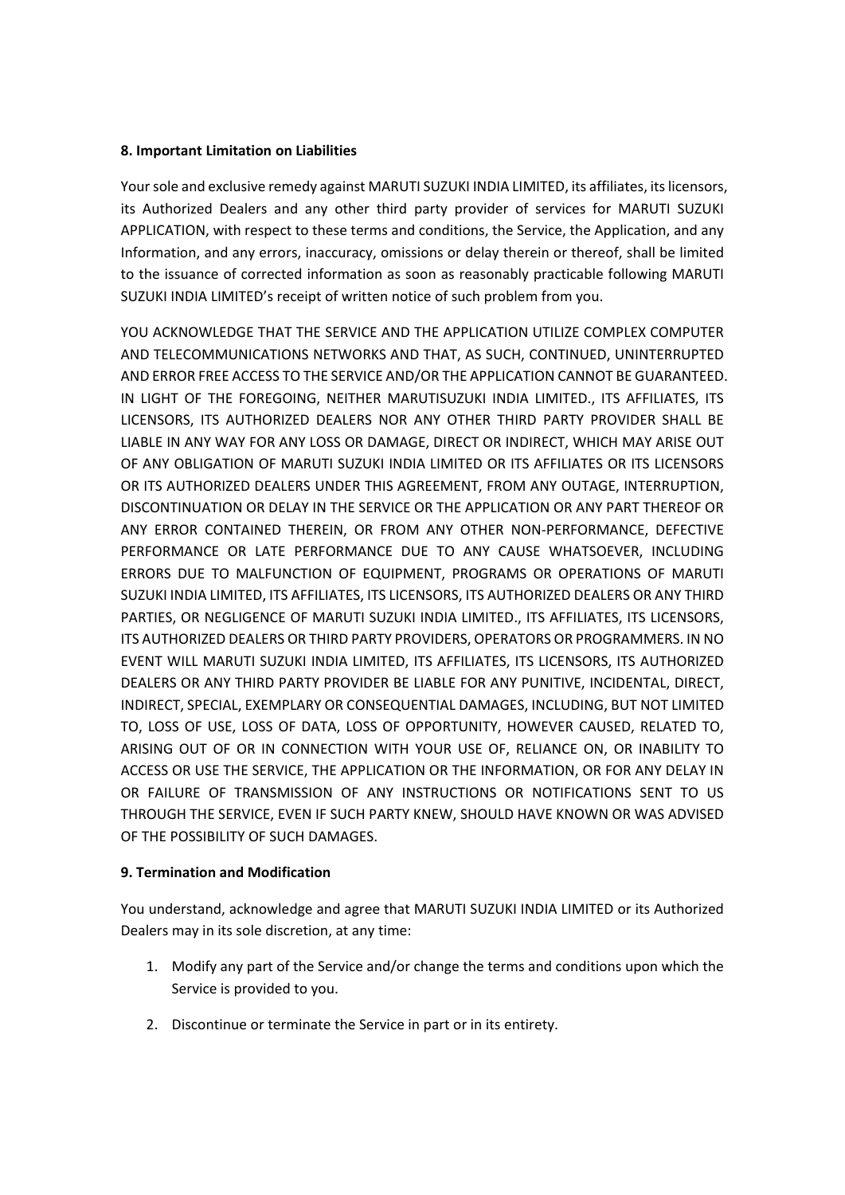### **8. Important Limitation on Liabilities**

Your sole and exclusive remedy against MARUTI SUZUKI INDIA LIMITED, its affiliates, its licensors, its Authorized Dealers and any other third party provider of services for MARUTI SUZUKI APPLICATION, with respect to these terms and conditions, the Service, the Application, and any Information, and any errors, inaccuracy, omissions or delay therein or thereof, shall be limited to the issuance of corrected information as soon as reasonably practicable following MARUTI SUZUKI INDIA LIMITED's receipt of written notice of such problem from you.

YOU ACKNOWLEDGE THAT THE SERVICE AND THE APPLICATION UTILIZE COMPLEX COMPUTER AND TELECOMMUNICATIONS NETWORKS AND THAT, AS SUCH, CONTINUED, UNINTERRUPTED AND ERROR FREE ACCESS TO THE SERVICE AND/OR THE APPLICATION CANNOT BE GUARANTEED. IN LIGHT OF THE FOREGOING, NEITHER MARUTISUZUKI INDIA LIMITED., ITS AFFILIATES, ITS LICENSORS, ITS AUTHORIZED DEALERS NOR ANY OTHER THIRD PARTY PROVIDER SHALL BE LIABLE IN ANY WAY FOR ANY LOSS OR DAMAGE, DIRECT OR INDIRECT, WHICH MAY ARISE OUT OF ANY OBLIGATION OF MARUTI SUZUKI INDIA LIMITED OR ITS AFFILIATES OR ITS LICENSORS OR ITS AUTHORIZED DEALERS UNDER THIS AGREEMENT, FROM ANY OUTAGE, INTERRUPTION, DISCONTINUATION OR DELAY IN THE SERVICE OR THE APPLICATION OR ANY PART THEREOF OR ANY ERROR CONTAINED THEREIN, OR FROM ANY OTHER NON-PERFORMANCE, DEFECTIVE PERFORMANCE OR LATE PERFORMANCE DUE TO ANY CAUSE WHATSOEVER, INCLUDING ERRORS DUE TO MALFUNCTION OF EQUIPMENT, PROGRAMS OR OPERATIONS OF MARUTI SUZUKI INDIA LIMITED, ITS AFFILIATES, ITS LICENSORS, ITS AUTHORIZED DEALERS OR ANY THIRD PARTIES, OR NEGLIGENCE OF MARUTI SUZUKI INDIA LIMITED., ITS AFFILIATES, ITS LICENSORS, ITS AUTHORIZED DEALERS OR THIRD PARTY PROVIDERS, OPERATORS OR PROGRAMMERS. IN NO EVENT WILL MARUTI SUZUKI INDIA LIMITED, ITS AFFILIATES, ITS LICENSORS, ITS AUTHORIZED DEALERS OR ANY THIRD PARTY PROVIDER BE LIABLE FOR ANY PUNITIVE, INCIDENTAL, DIRECT, INDIRECT, SPECIAL, EXEMPLARY OR CONSEQUENTIAL DAMAGES, INCLUDING, BUT NOT LIMITED TO, LOSS OF USE, LOSS OF DATA, LOSS OF OPPORTUNITY, HOWEVER CAUSED, RELATED TO, ARISING OUT OF OR IN CONNECTION WITH YOUR USE OF, RELIANCE ON, OR INABILITY TO ACCESS OR USE THE SERVICE, THE APPLICATION OR THE INFORMATION, OR FOR ANY DELAY IN OR FAILURE OF TRANSMISSION OF ANY INSTRUCTIONS OR NOTIFICATIONS SENT TO US THROUGH THE SERVICE, EVEN IF SUCH PARTY KNEW, SHOULD HAVE KNOWN OR WAS ADVISED OF THE POSSIBILITY OF SUCH DAMAGES.

# **9. Termination and Modification**

You understand, acknowledge and agree that MARUTI SUZUKI INDIA LIMITED or its Authorized Dealers may in its sole discretion, at any time:

- 1. Modify any part of the Service and/or change the terms and conditions upon which the Service is provided to you.
- 2. Discontinue or terminate the Service in part or in its entirety.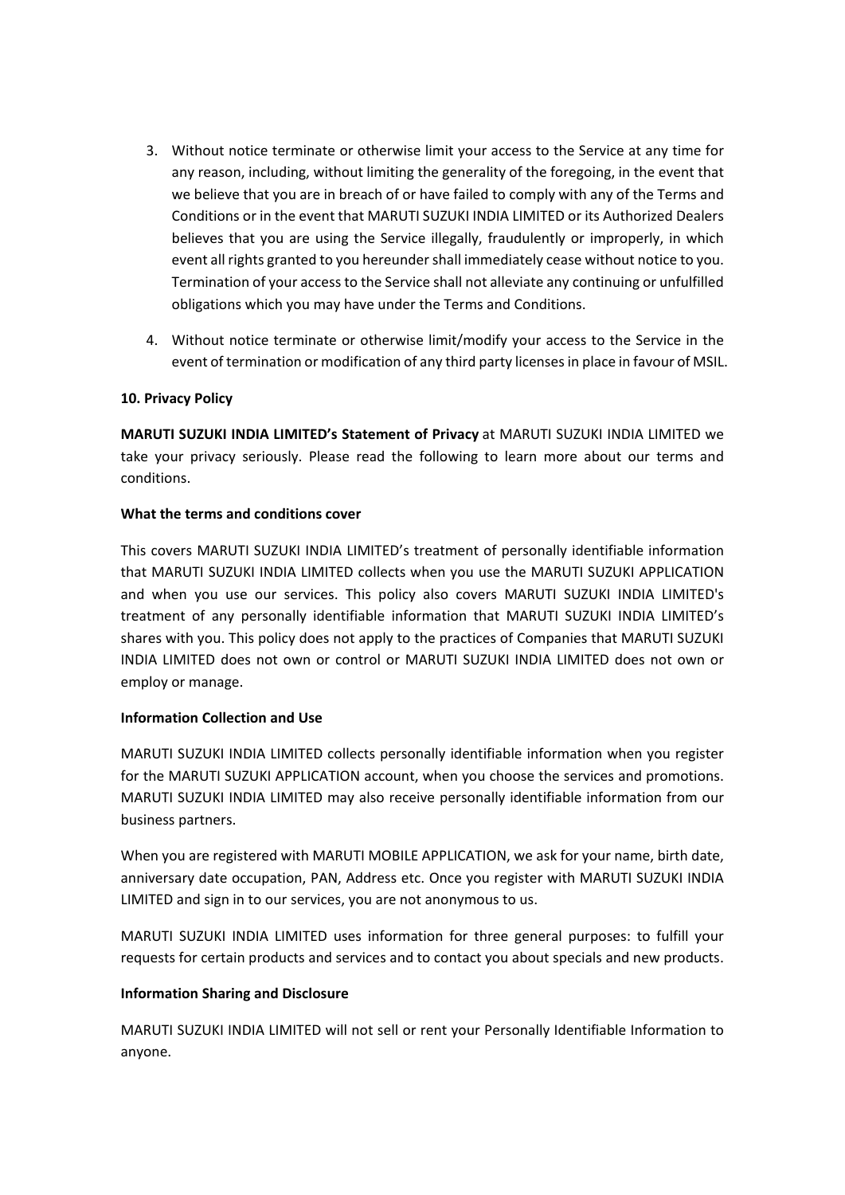- 3. Without notice terminate or otherwise limit your access to the Service at any time for any reason, including, without limiting the generality of the foregoing, in the event that we believe that you are in breach of or have failed to comply with any of the Terms and Conditions or in the event that MARUTI SUZUKI INDIA LIMITED or its Authorized Dealers believes that you are using the Service illegally, fraudulently or improperly, in which event all rights granted to you hereunder shall immediately cease without notice to you. Termination of your accessto the Service shall not alleviate any continuing or unfulfilled obligations which you may have under the Terms and Conditions.
- 4. Without notice terminate or otherwise limit/modify your access to the Service in the event of termination or modification of any third party licenses in place in favour of MSIL.

## **10. Privacy Policy**

**MARUTI SUZUKI INDIA LIMITED's Statement of Privacy** at MARUTI SUZUKI INDIA LIMITED we take your privacy seriously. Please read the following to learn more about our terms and conditions.

## **What the terms and conditions cover**

This covers MARUTI SUZUKI INDIA LIMITED's treatment of personally identifiable information that MARUTI SUZUKI INDIA LIMITED collects when you use the MARUTI SUZUKI APPLICATION and when you use our services. This policy also covers MARUTI SUZUKI INDIA LIMITED's treatment of any personally identifiable information that MARUTI SUZUKI INDIA LIMITED's shares with you. This policy does not apply to the practices of Companies that MARUTI SUZUKI INDIA LIMITED does not own or control or MARUTI SUZUKI INDIA LIMITED does not own or employ or manage.

# **Information Collection and Use**

MARUTI SUZUKI INDIA LIMITED collects personally identifiable information when you register for the MARUTI SUZUKI APPLICATION account, when you choose the services and promotions. MARUTI SUZUKI INDIA LIMITED may also receive personally identifiable information from our business partners.

When you are registered with MARUTI MOBILE APPLICATION, we ask for your name, birth date, anniversary date occupation, PAN, Address etc. Once you register with MARUTI SUZUKI INDIA LIMITED and sign in to our services, you are not anonymous to us.

MARUTI SUZUKI INDIA LIMITED uses information for three general purposes: to fulfill your requests for certain products and services and to contact you about specials and new products.

# **Information Sharing and Disclosure**

MARUTI SUZUKI INDIA LIMITED will not sell or rent your Personally Identifiable Information to anyone.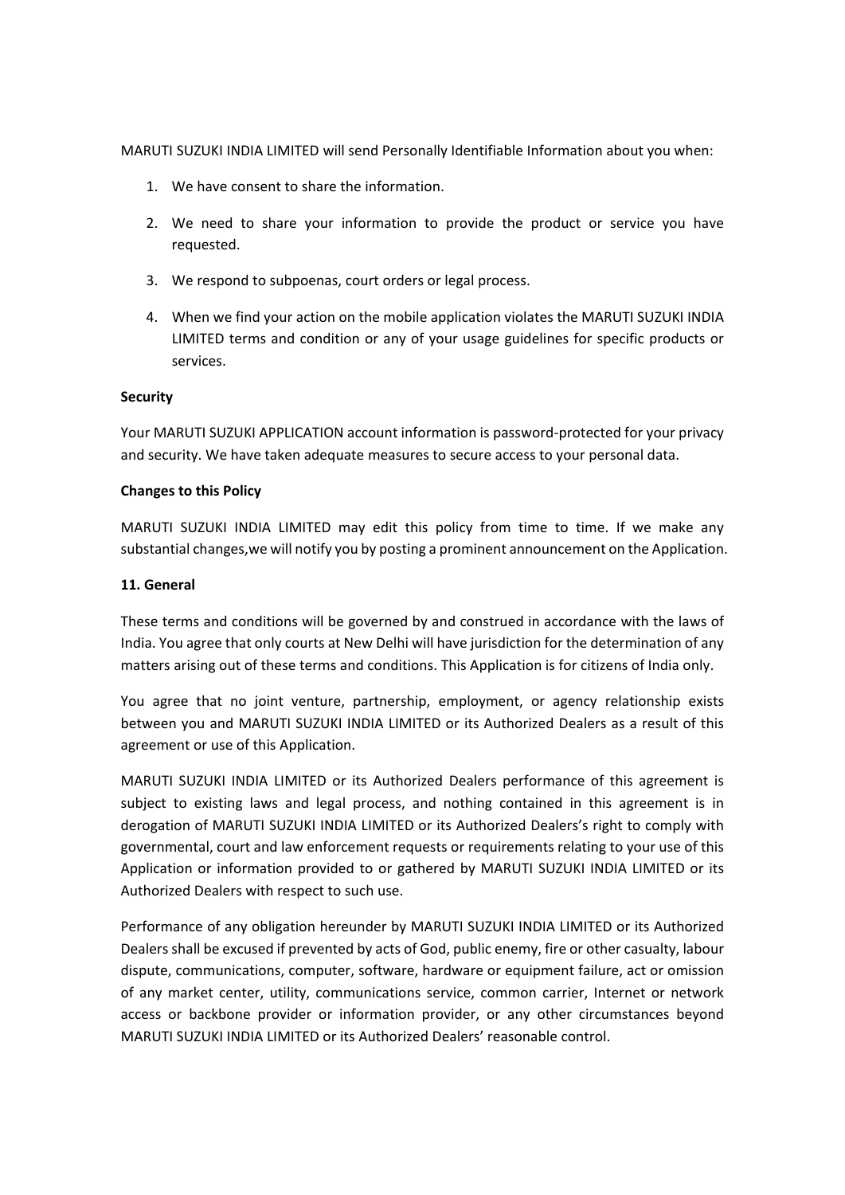MARUTI SUZUKI INDIA LIMITED will send Personally Identifiable Information about you when:

- 1. We have consent to share the information.
- 2. We need to share your information to provide the product or service you have requested.
- 3. We respond to subpoenas, court orders or legal process.
- 4. When we find your action on the mobile application violates the MARUTI SUZUKI INDIA LIMITED terms and condition or any of your usage guidelines for specific products or services.

## **Security**

Your MARUTI SUZUKI APPLICATION account information is password-protected for your privacy and security. We have taken adequate measures to secure access to your personal data.

## **Changes to this Policy**

MARUTI SUZUKI INDIA LIMITED may edit this policy from time to time. If we make any substantial changes,we will notify you by posting a prominent announcement on the Application.

## **11. General**

These terms and conditions will be governed by and construed in accordance with the laws of India. You agree that only courts at New Delhi will have jurisdiction for the determination of any matters arising out of these terms and conditions. This Application is for citizens of India only.

You agree that no joint venture, partnership, employment, or agency relationship exists between you and MARUTI SUZUKI INDIA LIMITED or its Authorized Dealers as a result of this agreement or use of this Application.

MARUTI SUZUKI INDIA LIMITED or its Authorized Dealers performance of this agreement is subject to existing laws and legal process, and nothing contained in this agreement is in derogation of MARUTI SUZUKI INDIA LIMITED or its Authorized Dealers's right to comply with governmental, court and law enforcement requests or requirements relating to your use of this Application or information provided to or gathered by MARUTI SUZUKI INDIA LIMITED or its Authorized Dealers with respect to such use.

Performance of any obligation hereunder by MARUTI SUZUKI INDIA LIMITED or its Authorized Dealers shall be excused if prevented by acts of God, public enemy, fire or other casualty, labour dispute, communications, computer, software, hardware or equipment failure, act or omission of any market center, utility, communications service, common carrier, Internet or network access or backbone provider or information provider, or any other circumstances beyond MARUTI SUZUKI INDIA LIMITED or its Authorized Dealers' reasonable control.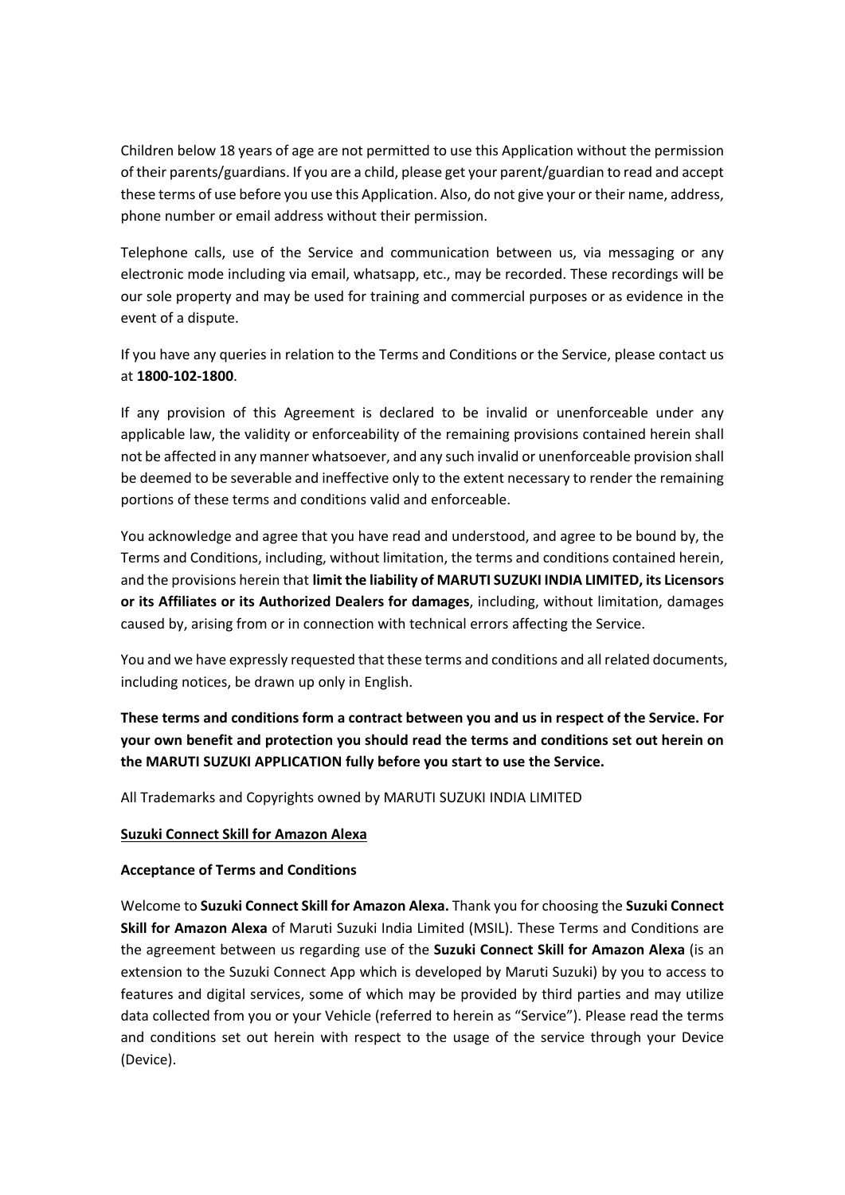Children below 18 years of age are not permitted to use this Application without the permission of their parents/guardians. If you are a child, please get your parent/guardian to read and accept these terms of use before you use this Application. Also, do not give your or their name, address, phone number or email address without their permission.

Telephone calls, use of the Service and communication between us, via messaging or any electronic mode including via email, whatsapp, etc., may be recorded. These recordings will be our sole property and may be used for training and commercial purposes or as evidence in the event of a dispute.

If you have any queries in relation to the Terms and Conditions or the Service, please contact us at **1800-102-1800**.

If any provision of this Agreement is declared to be invalid or unenforceable under any applicable law, the validity or enforceability of the remaining provisions contained herein shall not be affected in any manner whatsoever, and any such invalid or unenforceable provision shall be deemed to be severable and ineffective only to the extent necessary to render the remaining portions of these terms and conditions valid and enforceable.

You acknowledge and agree that you have read and understood, and agree to be bound by, the Terms and Conditions, including, without limitation, the terms and conditions contained herein, and the provisions herein that **limit the liability of MARUTI SUZUKI INDIA LIMITED, its Licensors or its Affiliates or its Authorized Dealers for damages**, including, without limitation, damages caused by, arising from or in connection with technical errors affecting the Service.

You and we have expressly requested that these terms and conditions and all related documents, including notices, be drawn up only in English.

**These terms and conditions form a contract between you and us in respect of the Service. For your own benefit and protection you should read the terms and conditions set out herein on the MARUTI SUZUKI APPLICATION fully before you start to use the Service.**

All Trademarks and Copyrights owned by MARUTI SUZUKI INDIA LIMITED

### **Suzuki Connect Skill for Amazon Alexa**

### **Acceptance of Terms and Conditions**

Welcome to **Suzuki Connect Skill for Amazon Alexa.** Thank you for choosing the **Suzuki Connect Skill for Amazon Alexa** of Maruti Suzuki India Limited (MSIL). These Terms and Conditions are the agreement between us regarding use of the **Suzuki Connect Skill for Amazon Alexa** (is an extension to the Suzuki Connect App which is developed by Maruti Suzuki) by you to access to features and digital services, some of which may be provided by third parties and may utilize data collected from you or your Vehicle (referred to herein as "Service"). Please read the terms and conditions set out herein with respect to the usage of the service through your Device (Device).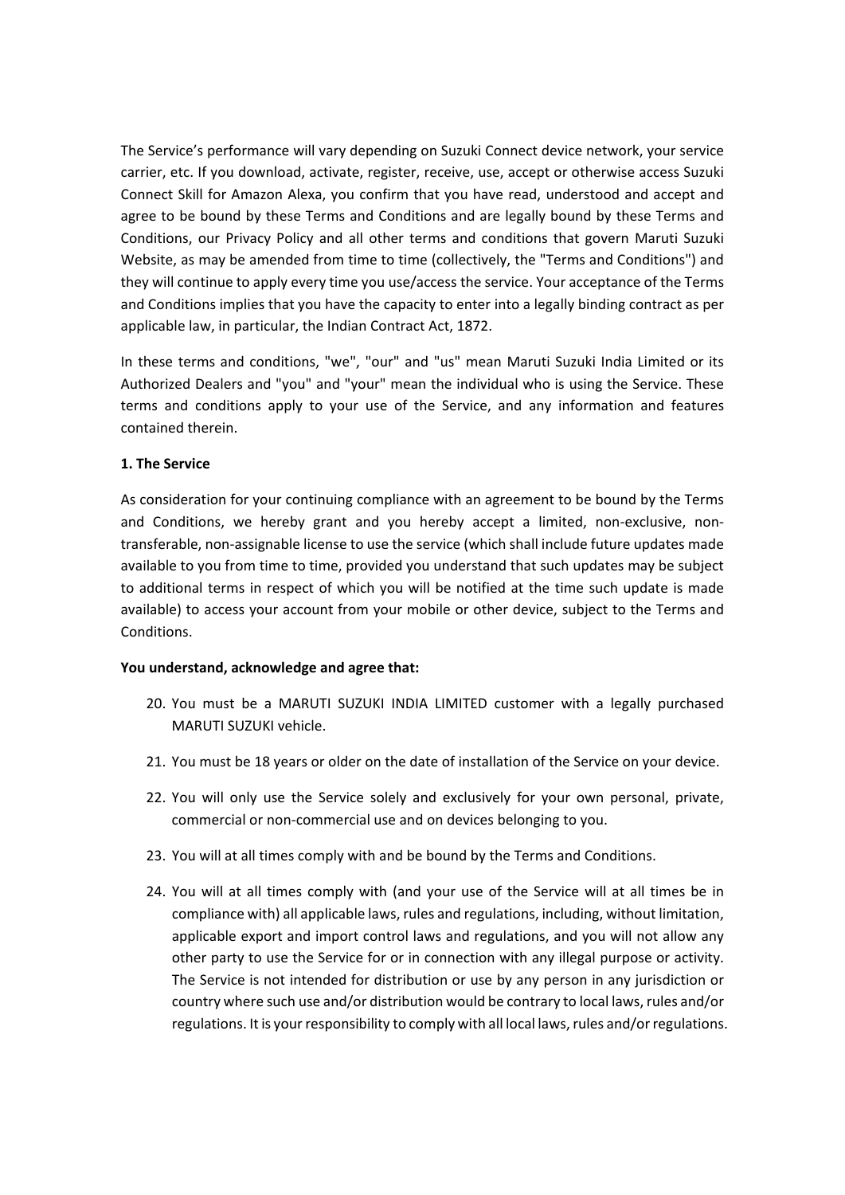The Service's performance will vary depending on Suzuki Connect device network, your service carrier, etc. If you download, activate, register, receive, use, accept or otherwise access Suzuki Connect Skill for Amazon Alexa, you confirm that you have read, understood and accept and agree to be bound by these Terms and Conditions and are legally bound by these Terms and Conditions, our Privacy Policy and all other terms and conditions that govern Maruti Suzuki Website, as may be amended from time to time (collectively, the "Terms and Conditions") and they will continue to apply every time you use/access the service. Your acceptance of the Terms and Conditions implies that you have the capacity to enter into a legally binding contract as per applicable law, in particular, the Indian Contract Act, 1872.

In these terms and conditions, "we", "our" and "us" mean Maruti Suzuki India Limited or its Authorized Dealers and "you" and "your" mean the individual who is using the Service. These terms and conditions apply to your use of the Service, and any information and features contained therein.

### **1. The Service**

As consideration for your continuing compliance with an agreement to be bound by the Terms and Conditions, we hereby grant and you hereby accept a limited, non-exclusive, nontransferable, non-assignable license to use the service (which shall include future updates made available to you from time to time, provided you understand that such updates may be subject to additional terms in respect of which you will be notified at the time such update is made available) to access your account from your mobile or other device, subject to the Terms and Conditions.

### **You understand, acknowledge and agree that:**

- 20. You must be a MARUTI SUZUKI INDIA LIMITED customer with a legally purchased MARUTI SUZUKI vehicle.
- 21. You must be 18 years or older on the date of installation of the Service on your device.
- 22. You will only use the Service solely and exclusively for your own personal, private, commercial or non-commercial use and on devices belonging to you.
- 23. You will at all times comply with and be bound by the Terms and Conditions.
- 24. You will at all times comply with (and your use of the Service will at all times be in compliance with) all applicable laws, rules and regulations, including, without limitation, applicable export and import control laws and regulations, and you will not allow any other party to use the Service for or in connection with any illegal purpose or activity. The Service is not intended for distribution or use by any person in any jurisdiction or country where such use and/or distribution would be contrary to local laws, rules and/or regulations. It is your responsibility to comply with all local laws, rules and/or regulations.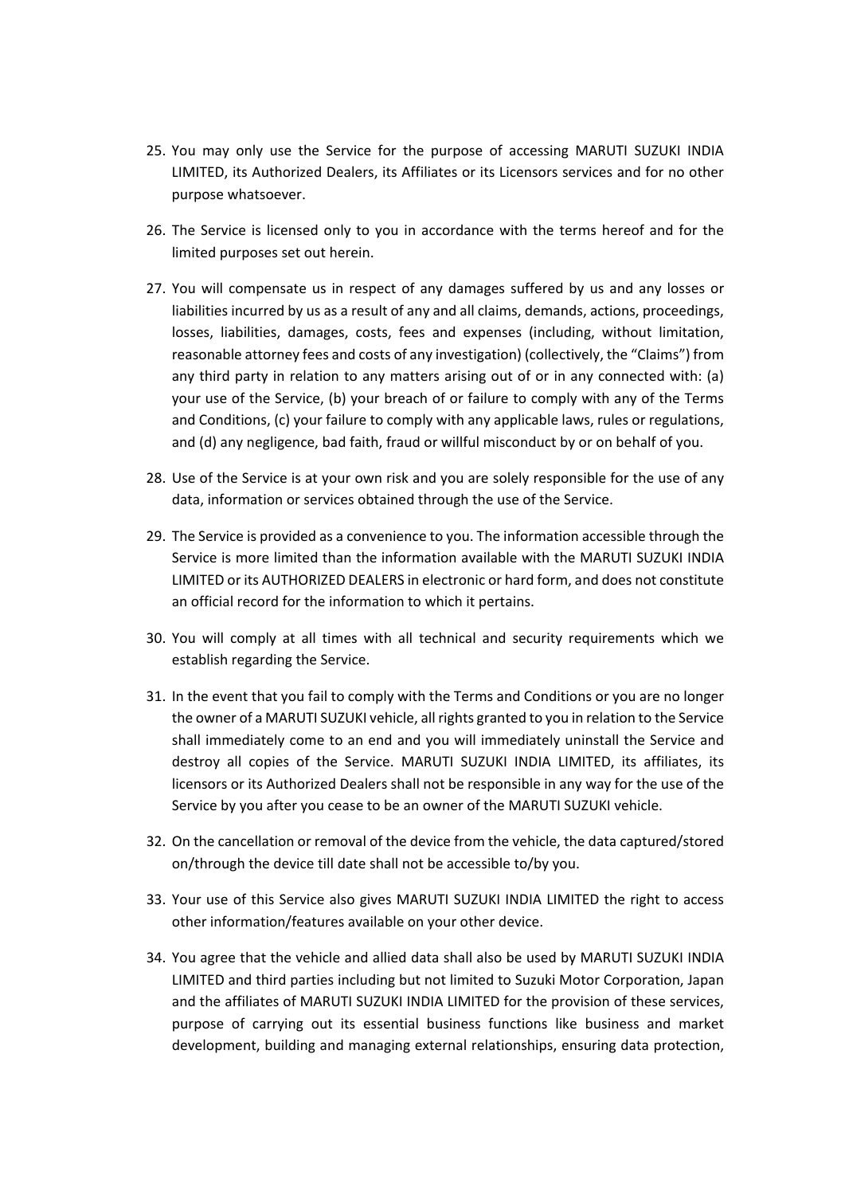- 25. You may only use the Service for the purpose of accessing MARUTI SUZUKI INDIA LIMITED, its Authorized Dealers, its Affiliates or its Licensors services and for no other purpose whatsoever.
- 26. The Service is licensed only to you in accordance with the terms hereof and for the limited purposes set out herein.
- 27. You will compensate us in respect of any damages suffered by us and any losses or liabilities incurred by us as a result of any and all claims, demands, actions, proceedings, losses, liabilities, damages, costs, fees and expenses (including, without limitation, reasonable attorney fees and costs of any investigation) (collectively, the "Claims") from any third party in relation to any matters arising out of or in any connected with: (a) your use of the Service, (b) your breach of or failure to comply with any of the Terms and Conditions, (c) your failure to comply with any applicable laws, rules or regulations, and (d) any negligence, bad faith, fraud or willful misconduct by or on behalf of you.
- 28. Use of the Service is at your own risk and you are solely responsible for the use of any data, information or services obtained through the use of the Service.
- 29. The Service is provided as a convenience to you. The information accessible through the Service is more limited than the information available with the MARUTI SUZUKI INDIA LIMITED or its AUTHORIZED DEALERS in electronic or hard form, and does not constitute an official record for the information to which it pertains.
- 30. You will comply at all times with all technical and security requirements which we establish regarding the Service.
- 31. In the event that you fail to comply with the Terms and Conditions or you are no longer the owner of a MARUTI SUZUKI vehicle, all rights granted to you in relation to the Service shall immediately come to an end and you will immediately uninstall the Service and destroy all copies of the Service. MARUTI SUZUKI INDIA LIMITED, its affiliates, its licensors or its Authorized Dealers shall not be responsible in any way for the use of the Service by you after you cease to be an owner of the MARUTI SUZUKI vehicle.
- 32. On the cancellation or removal of the device from the vehicle, the data captured/stored on/through the device till date shall not be accessible to/by you.
- 33. Your use of this Service also gives MARUTI SUZUKI INDIA LIMITED the right to access other information/features available on your other device.
- 34. You agree that the vehicle and allied data shall also be used by MARUTI SUZUKI INDIA LIMITED and third parties including but not limited to Suzuki Motor Corporation, Japan and the affiliates of MARUTI SUZUKI INDIA LIMITED for the provision of these services, purpose of carrying out its essential business functions like business and market development, building and managing external relationships, ensuring data protection,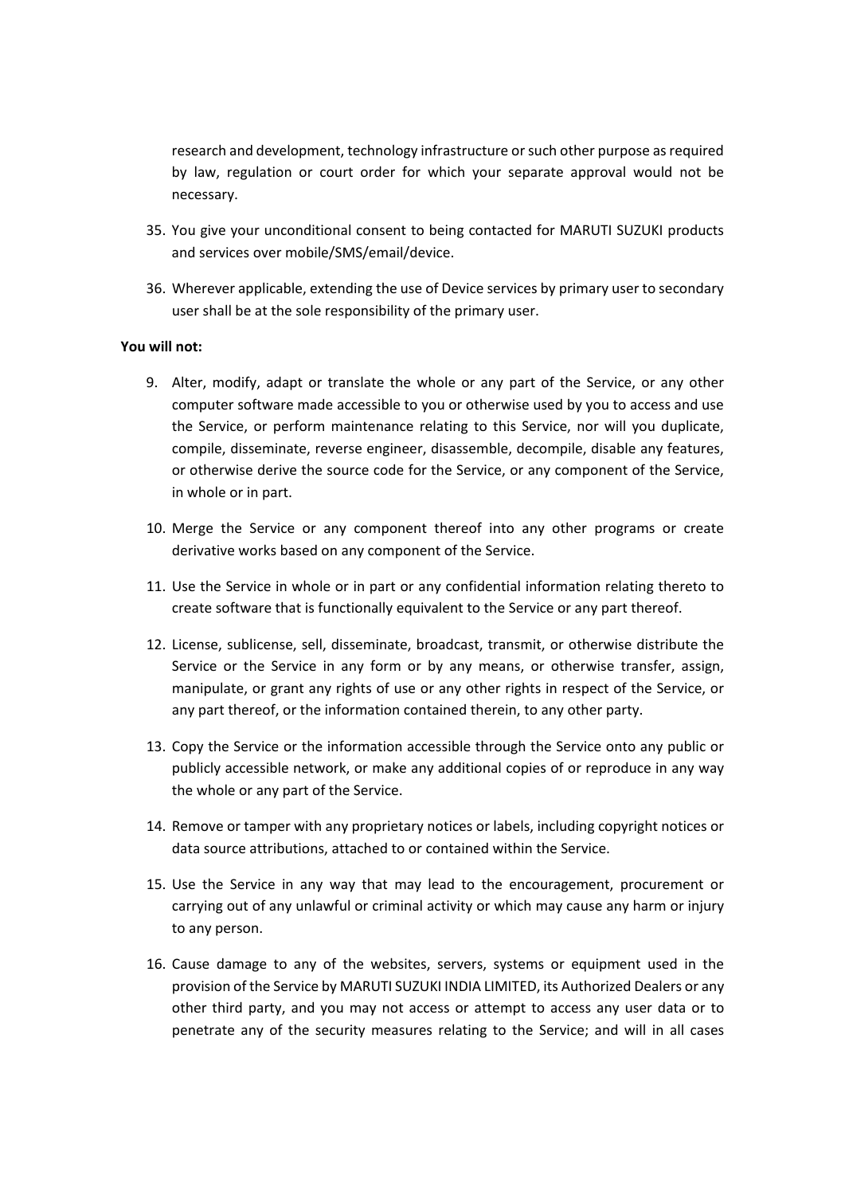research and development, technology infrastructure or such other purpose as required by law, regulation or court order for which your separate approval would not be necessary.

- 35. You give your unconditional consent to being contacted for MARUTI SUZUKI products and services over mobile/SMS/email/device.
- 36. Wherever applicable, extending the use of Device services by primary user to secondary user shall be at the sole responsibility of the primary user.

#### **You will not:**

- 9. Alter, modify, adapt or translate the whole or any part of the Service, or any other computer software made accessible to you or otherwise used by you to access and use the Service, or perform maintenance relating to this Service, nor will you duplicate, compile, disseminate, reverse engineer, disassemble, decompile, disable any features, or otherwise derive the source code for the Service, or any component of the Service, in whole or in part.
- 10. Merge the Service or any component thereof into any other programs or create derivative works based on any component of the Service.
- 11. Use the Service in whole or in part or any confidential information relating thereto to create software that is functionally equivalent to the Service or any part thereof.
- 12. License, sublicense, sell, disseminate, broadcast, transmit, or otherwise distribute the Service or the Service in any form or by any means, or otherwise transfer, assign, manipulate, or grant any rights of use or any other rights in respect of the Service, or any part thereof, or the information contained therein, to any other party.
- 13. Copy the Service or the information accessible through the Service onto any public or publicly accessible network, or make any additional copies of or reproduce in any way the whole or any part of the Service.
- 14. Remove or tamper with any proprietary notices or labels, including copyright notices or data source attributions, attached to or contained within the Service.
- 15. Use the Service in any way that may lead to the encouragement, procurement or carrying out of any unlawful or criminal activity or which may cause any harm or injury to any person.
- 16. Cause damage to any of the websites, servers, systems or equipment used in the provision of the Service by MARUTI SUZUKI INDIA LIMITED, its Authorized Dealers or any other third party, and you may not access or attempt to access any user data or to penetrate any of the security measures relating to the Service; and will in all cases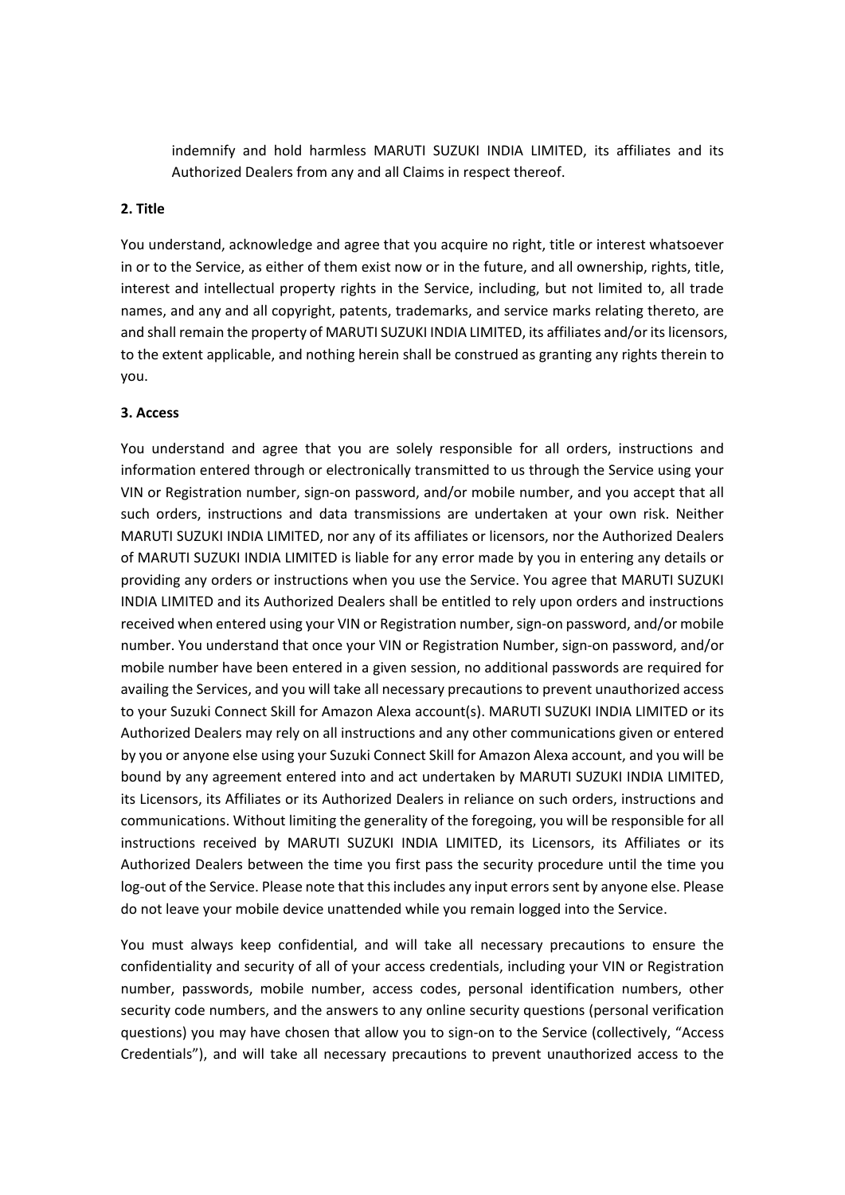indemnify and hold harmless MARUTI SUZUKI INDIA LIMITED, its affiliates and its Authorized Dealers from any and all Claims in respect thereof.

### **2. Title**

You understand, acknowledge and agree that you acquire no right, title or interest whatsoever in or to the Service, as either of them exist now or in the future, and all ownership, rights, title, interest and intellectual property rights in the Service, including, but not limited to, all trade names, and any and all copyright, patents, trademarks, and service marks relating thereto, are and shall remain the property of MARUTI SUZUKI INDIA LIMITED, its affiliates and/or its licensors, to the extent applicable, and nothing herein shall be construed as granting any rights therein to you.

#### **3. Access**

You understand and agree that you are solely responsible for all orders, instructions and information entered through or electronically transmitted to us through the Service using your VIN or Registration number, sign-on password, and/or mobile number, and you accept that all such orders, instructions and data transmissions are undertaken at your own risk. Neither MARUTI SUZUKI INDIA LIMITED, nor any of its affiliates or licensors, nor the Authorized Dealers of MARUTI SUZUKI INDIA LIMITED is liable for any error made by you in entering any details or providing any orders or instructions when you use the Service. You agree that MARUTI SUZUKI INDIA LIMITED and its Authorized Dealers shall be entitled to rely upon orders and instructions received when entered using your VIN or Registration number, sign-on password, and/or mobile number. You understand that once your VIN or Registration Number, sign-on password, and/or mobile number have been entered in a given session, no additional passwords are required for availing the Services, and you will take all necessary precautions to prevent unauthorized access to your Suzuki Connect Skill for Amazon Alexa account(s). MARUTI SUZUKI INDIA LIMITED or its Authorized Dealers may rely on all instructions and any other communications given or entered by you or anyone else using your Suzuki Connect Skill for Amazon Alexa account, and you will be bound by any agreement entered into and act undertaken by MARUTI SUZUKI INDIA LIMITED, its Licensors, its Affiliates or its Authorized Dealers in reliance on such orders, instructions and communications. Without limiting the generality of the foregoing, you will be responsible for all instructions received by MARUTI SUZUKI INDIA LIMITED, its Licensors, its Affiliates or its Authorized Dealers between the time you first pass the security procedure until the time you log-out of the Service. Please note that this includes any input errors sent by anyone else. Please do not leave your mobile device unattended while you remain logged into the Service.

You must always keep confidential, and will take all necessary precautions to ensure the confidentiality and security of all of your access credentials, including your VIN or Registration number, passwords, mobile number, access codes, personal identification numbers, other security code numbers, and the answers to any online security questions (personal verification questions) you may have chosen that allow you to sign-on to the Service (collectively, "Access Credentials"), and will take all necessary precautions to prevent unauthorized access to the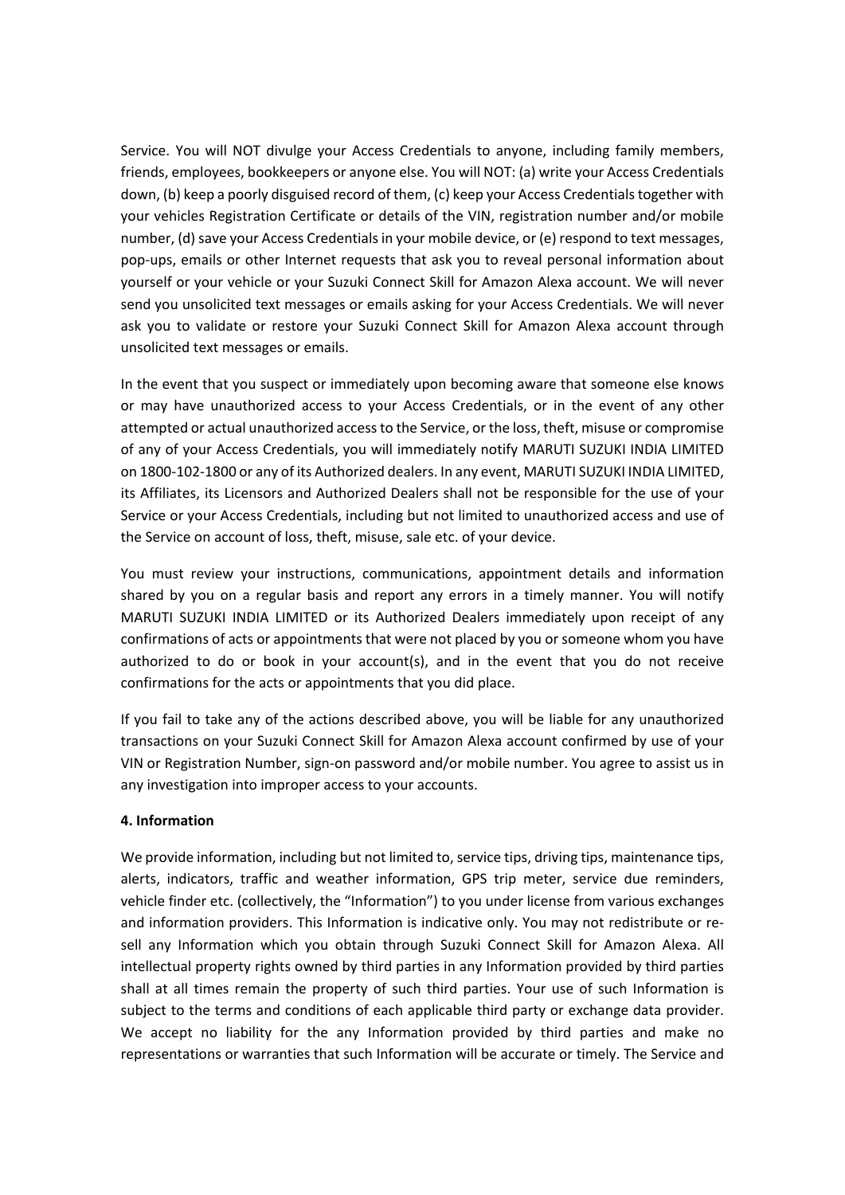Service. You will NOT divulge your Access Credentials to anyone, including family members, friends, employees, bookkeepers or anyone else. You will NOT: (a) write your Access Credentials down, (b) keep a poorly disguised record of them, (c) keep your Access Credentials together with your vehicles Registration Certificate or details of the VIN, registration number and/or mobile number, (d) save your Access Credentials in your mobile device, or (e) respond to text messages, pop-ups, emails or other Internet requests that ask you to reveal personal information about yourself or your vehicle or your Suzuki Connect Skill for Amazon Alexa account. We will never send you unsolicited text messages or emails asking for your Access Credentials. We will never ask you to validate or restore your Suzuki Connect Skill for Amazon Alexa account through unsolicited text messages or emails.

In the event that you suspect or immediately upon becoming aware that someone else knows or may have unauthorized access to your Access Credentials, or in the event of any other attempted or actual unauthorized access to the Service, or the loss, theft, misuse or compromise of any of your Access Credentials, you will immediately notify MARUTI SUZUKI INDIA LIMITED on 1800-102-1800 or any of its Authorized dealers. In any event, MARUTI SUZUKI INDIA LIMITED, its Affiliates, its Licensors and Authorized Dealers shall not be responsible for the use of your Service or your Access Credentials, including but not limited to unauthorized access and use of the Service on account of loss, theft, misuse, sale etc. of your device.

You must review your instructions, communications, appointment details and information shared by you on a regular basis and report any errors in a timely manner. You will notify MARUTI SUZUKI INDIA LIMITED or its Authorized Dealers immediately upon receipt of any confirmations of acts or appointments that were not placed by you or someone whom you have authorized to do or book in your account(s), and in the event that you do not receive confirmations for the acts or appointments that you did place.

If you fail to take any of the actions described above, you will be liable for any unauthorized transactions on your Suzuki Connect Skill for Amazon Alexa account confirmed by use of your VIN or Registration Number, sign-on password and/or mobile number. You agree to assist us in any investigation into improper access to your accounts.

### **4. Information**

We provide information, including but not limited to, service tips, driving tips, maintenance tips, alerts, indicators, traffic and weather information, GPS trip meter, service due reminders, vehicle finder etc. (collectively, the "Information") to you under license from various exchanges and information providers. This Information is indicative only. You may not redistribute or resell any Information which you obtain through Suzuki Connect Skill for Amazon Alexa. All intellectual property rights owned by third parties in any Information provided by third parties shall at all times remain the property of such third parties. Your use of such Information is subject to the terms and conditions of each applicable third party or exchange data provider. We accept no liability for the any Information provided by third parties and make no representations or warranties that such Information will be accurate or timely. The Service and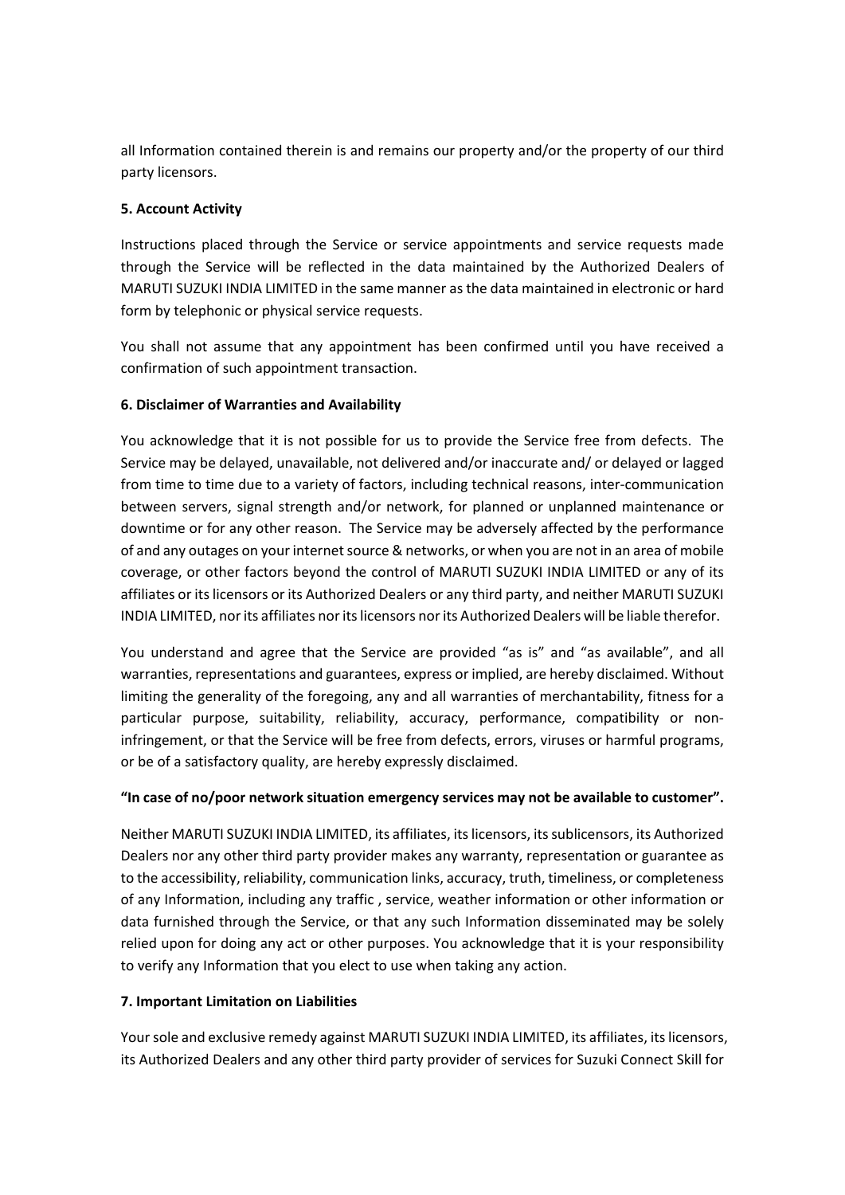all Information contained therein is and remains our property and/or the property of our third party licensors.

# **5. Account Activity**

Instructions placed through the Service or service appointments and service requests made through the Service will be reflected in the data maintained by the Authorized Dealers of MARUTI SUZUKI INDIA LIMITED in the same manner as the data maintained in electronic or hard form by telephonic or physical service requests.

You shall not assume that any appointment has been confirmed until you have received a confirmation of such appointment transaction.

## **6. Disclaimer of Warranties and Availability**

You acknowledge that it is not possible for us to provide the Service free from defects. The Service may be delayed, unavailable, not delivered and/or inaccurate and/ or delayed or lagged from time to time due to a variety of factors, including technical reasons, inter-communication between servers, signal strength and/or network, for planned or unplanned maintenance or downtime or for any other reason. The Service may be adversely affected by the performance of and any outages on your internet source & networks, or when you are not in an area of mobile coverage, or other factors beyond the control of MARUTI SUZUKI INDIA LIMITED or any of its affiliates or its licensors or its Authorized Dealers or any third party, and neither MARUTI SUZUKI INDIA LIMITED, nor its affiliates nor its licensors nor its Authorized Dealers will be liable therefor.

You understand and agree that the Service are provided "as is" and "as available", and all warranties, representations and guarantees, express or implied, are hereby disclaimed. Without limiting the generality of the foregoing, any and all warranties of merchantability, fitness for a particular purpose, suitability, reliability, accuracy, performance, compatibility or noninfringement, or that the Service will be free from defects, errors, viruses or harmful programs, or be of a satisfactory quality, are hereby expressly disclaimed.

### **"In case of no/poor network situation emergency services may not be available to customer".**

Neither MARUTI SUZUKI INDIA LIMITED, its affiliates, its licensors, its sublicensors, its Authorized Dealers nor any other third party provider makes any warranty, representation or guarantee as to the accessibility, reliability, communication links, accuracy, truth, timeliness, or completeness of any Information, including any traffic , service, weather information or other information or data furnished through the Service, or that any such Information disseminated may be solely relied upon for doing any act or other purposes. You acknowledge that it is your responsibility to verify any Information that you elect to use when taking any action.

### **7. Important Limitation on Liabilities**

Your sole and exclusive remedy against MARUTI SUZUKI INDIA LIMITED, its affiliates, its licensors, its Authorized Dealers and any other third party provider of services for Suzuki Connect Skill for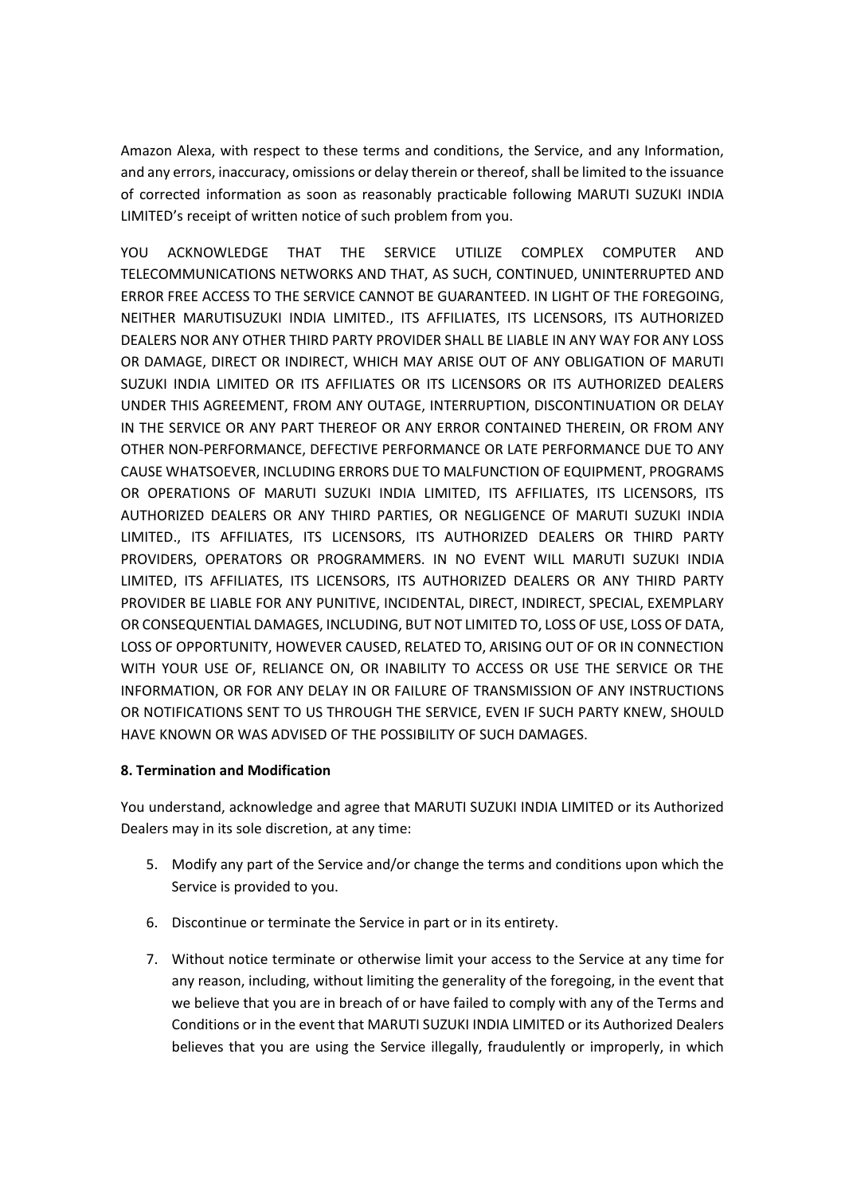Amazon Alexa, with respect to these terms and conditions, the Service, and any Information, and any errors, inaccuracy, omissions or delay therein or thereof, shall be limited to the issuance of corrected information as soon as reasonably practicable following MARUTI SUZUKI INDIA LIMITED's receipt of written notice of such problem from you.

YOU ACKNOWLEDGE THAT THE SERVICE UTILIZE COMPLEX COMPUTER AND TELECOMMUNICATIONS NETWORKS AND THAT, AS SUCH, CONTINUED, UNINTERRUPTED AND ERROR FREE ACCESS TO THE SERVICE CANNOT BE GUARANTEED. IN LIGHT OF THE FOREGOING, NEITHER MARUTISUZUKI INDIA LIMITED., ITS AFFILIATES, ITS LICENSORS, ITS AUTHORIZED DEALERS NOR ANY OTHER THIRD PARTY PROVIDER SHALL BE LIABLE IN ANY WAY FOR ANY LOSS OR DAMAGE, DIRECT OR INDIRECT, WHICH MAY ARISE OUT OF ANY OBLIGATION OF MARUTI SUZUKI INDIA LIMITED OR ITS AFFILIATES OR ITS LICENSORS OR ITS AUTHORIZED DEALERS UNDER THIS AGREEMENT, FROM ANY OUTAGE, INTERRUPTION, DISCONTINUATION OR DELAY IN THE SERVICE OR ANY PART THEREOF OR ANY ERROR CONTAINED THEREIN, OR FROM ANY OTHER NON-PERFORMANCE, DEFECTIVE PERFORMANCE OR LATE PERFORMANCE DUE TO ANY CAUSE WHATSOEVER, INCLUDING ERRORS DUE TO MALFUNCTION OF EQUIPMENT, PROGRAMS OR OPERATIONS OF MARUTI SUZUKI INDIA LIMITED, ITS AFFILIATES, ITS LICENSORS, ITS AUTHORIZED DEALERS OR ANY THIRD PARTIES, OR NEGLIGENCE OF MARUTI SUZUKI INDIA LIMITED., ITS AFFILIATES, ITS LICENSORS, ITS AUTHORIZED DEALERS OR THIRD PARTY PROVIDERS, OPERATORS OR PROGRAMMERS. IN NO EVENT WILL MARUTI SUZUKI INDIA LIMITED, ITS AFFILIATES, ITS LICENSORS, ITS AUTHORIZED DEALERS OR ANY THIRD PARTY PROVIDER BE LIABLE FOR ANY PUNITIVE, INCIDENTAL, DIRECT, INDIRECT, SPECIAL, EXEMPLARY OR CONSEQUENTIAL DAMAGES, INCLUDING, BUT NOT LIMITED TO, LOSS OF USE, LOSS OF DATA, LOSS OF OPPORTUNITY, HOWEVER CAUSED, RELATED TO, ARISING OUT OF OR IN CONNECTION WITH YOUR USE OF, RELIANCE ON, OR INABILITY TO ACCESS OR USE THE SERVICE OR THE INFORMATION, OR FOR ANY DELAY IN OR FAILURE OF TRANSMISSION OF ANY INSTRUCTIONS OR NOTIFICATIONS SENT TO US THROUGH THE SERVICE, EVEN IF SUCH PARTY KNEW, SHOULD HAVE KNOWN OR WAS ADVISED OF THE POSSIBILITY OF SUCH DAMAGES.

# **8. Termination and Modification**

You understand, acknowledge and agree that MARUTI SUZUKI INDIA LIMITED or its Authorized Dealers may in its sole discretion, at any time:

- 5. Modify any part of the Service and/or change the terms and conditions upon which the Service is provided to you.
- 6. Discontinue or terminate the Service in part or in its entirety.
- 7. Without notice terminate or otherwise limit your access to the Service at any time for any reason, including, without limiting the generality of the foregoing, in the event that we believe that you are in breach of or have failed to comply with any of the Terms and Conditions or in the event that MARUTI SUZUKI INDIA LIMITED or its Authorized Dealers believes that you are using the Service illegally, fraudulently or improperly, in which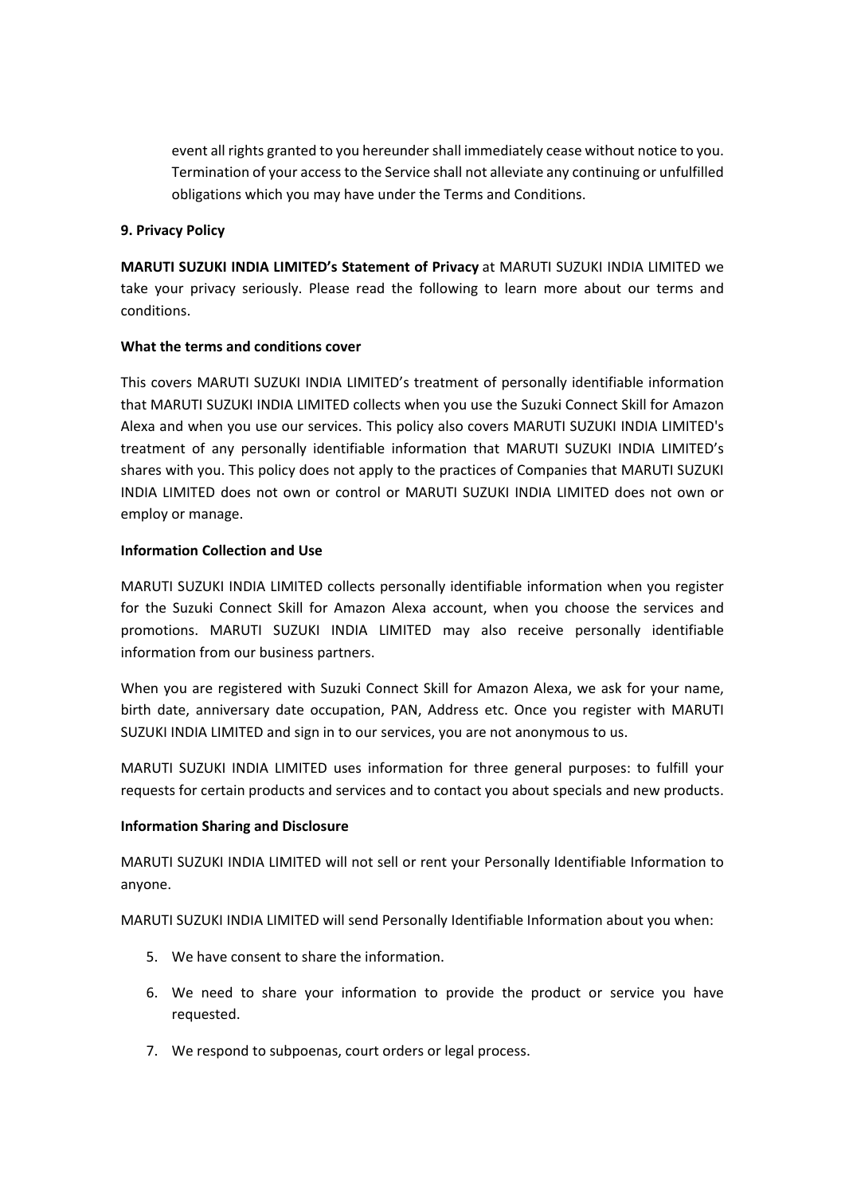event all rights granted to you hereunder shall immediately cease without notice to you. Termination of your access to the Service shall not alleviate any continuing or unfulfilled obligations which you may have under the Terms and Conditions.

### **9. Privacy Policy**

**MARUTI SUZUKI INDIA LIMITED's Statement of Privacy** at MARUTI SUZUKI INDIA LIMITED we take your privacy seriously. Please read the following to learn more about our terms and conditions.

### **What the terms and conditions cover**

This covers MARUTI SUZUKI INDIA LIMITED's treatment of personally identifiable information that MARUTI SUZUKI INDIA LIMITED collects when you use the Suzuki Connect Skill for Amazon Alexa and when you use our services. This policy also covers MARUTI SUZUKI INDIA LIMITED's treatment of any personally identifiable information that MARUTI SUZUKI INDIA LIMITED's shares with you. This policy does not apply to the practices of Companies that MARUTI SUZUKI INDIA LIMITED does not own or control or MARUTI SUZUKI INDIA LIMITED does not own or employ or manage.

#### **Information Collection and Use**

MARUTI SUZUKI INDIA LIMITED collects personally identifiable information when you register for the Suzuki Connect Skill for Amazon Alexa account, when you choose the services and promotions. MARUTI SUZUKI INDIA LIMITED may also receive personally identifiable information from our business partners.

When you are registered with Suzuki Connect Skill for Amazon Alexa, we ask for your name, birth date, anniversary date occupation, PAN, Address etc. Once you register with MARUTI SUZUKI INDIA LIMITED and sign in to our services, you are not anonymous to us.

MARUTI SUZUKI INDIA LIMITED uses information for three general purposes: to fulfill your requests for certain products and services and to contact you about specials and new products.

### **Information Sharing and Disclosure**

MARUTI SUZUKI INDIA LIMITED will not sell or rent your Personally Identifiable Information to anyone.

MARUTI SUZUKI INDIA LIMITED will send Personally Identifiable Information about you when:

- 5. We have consent to share the information.
- 6. We need to share your information to provide the product or service you have requested.
- 7. We respond to subpoenas, court orders or legal process.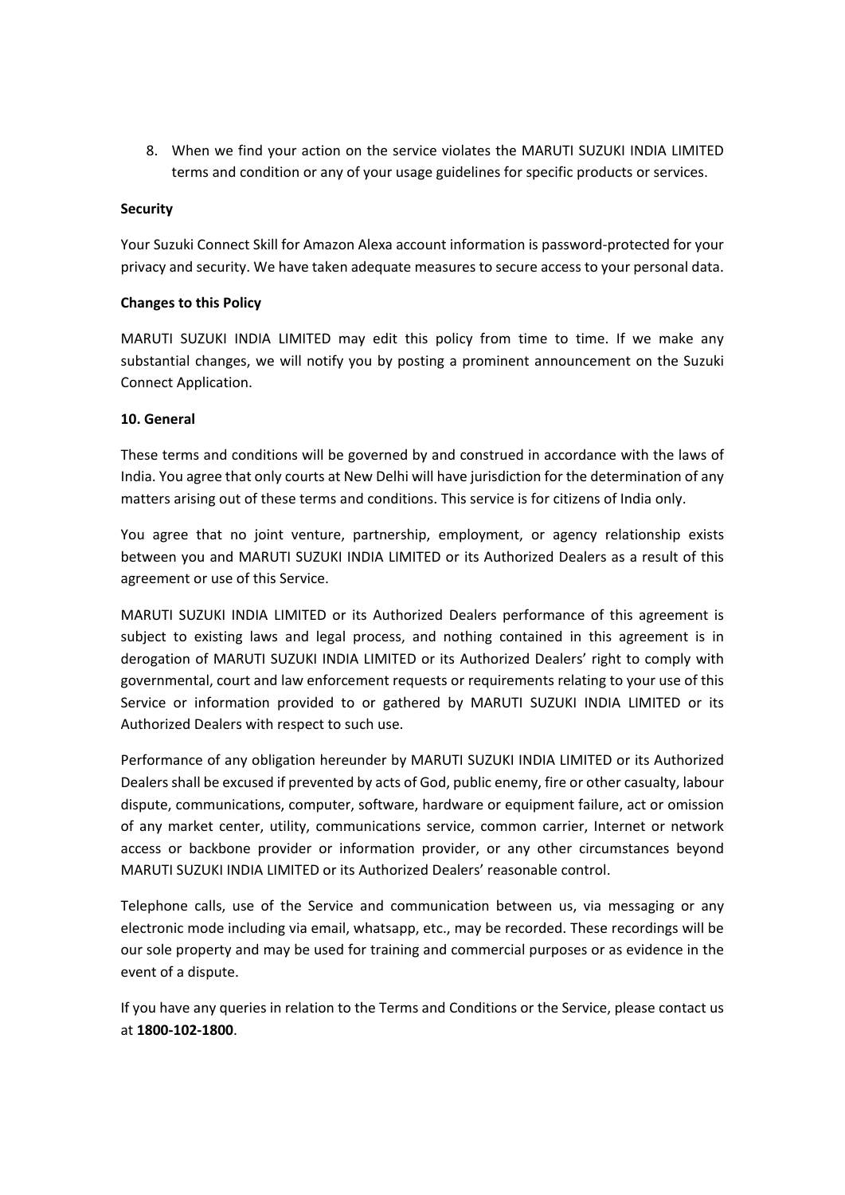8. When we find your action on the service violates the MARUTI SUZUKI INDIA LIMITED terms and condition or any of your usage guidelines for specific products or services.

### **Security**

Your Suzuki Connect Skill for Amazon Alexa account information is password-protected for your privacy and security. We have taken adequate measures to secure access to your personal data.

### **Changes to this Policy**

MARUTI SUZUKI INDIA LIMITED may edit this policy from time to time. If we make any substantial changes, we will notify you by posting a prominent announcement on the Suzuki Connect Application.

## **10. General**

These terms and conditions will be governed by and construed in accordance with the laws of India. You agree that only courts at New Delhi will have jurisdiction for the determination of any matters arising out of these terms and conditions. This service is for citizens of India only.

You agree that no joint venture, partnership, employment, or agency relationship exists between you and MARUTI SUZUKI INDIA LIMITED or its Authorized Dealers as a result of this agreement or use of this Service.

MARUTI SUZUKI INDIA LIMITED or its Authorized Dealers performance of this agreement is subject to existing laws and legal process, and nothing contained in this agreement is in derogation of MARUTI SUZUKI INDIA LIMITED or its Authorized Dealers' right to comply with governmental, court and law enforcement requests or requirements relating to your use of this Service or information provided to or gathered by MARUTI SUZUKI INDIA LIMITED or its Authorized Dealers with respect to such use.

Performance of any obligation hereunder by MARUTI SUZUKI INDIA LIMITED or its Authorized Dealers shall be excused if prevented by acts of God, public enemy, fire or other casualty, labour dispute, communications, computer, software, hardware or equipment failure, act or omission of any market center, utility, communications service, common carrier, Internet or network access or backbone provider or information provider, or any other circumstances beyond MARUTI SUZUKI INDIA LIMITED or its Authorized Dealers' reasonable control.

Telephone calls, use of the Service and communication between us, via messaging or any electronic mode including via email, whatsapp, etc., may be recorded. These recordings will be our sole property and may be used for training and commercial purposes or as evidence in the event of a dispute.

If you have any queries in relation to the Terms and Conditions or the Service, please contact us at **1800-102-1800**.